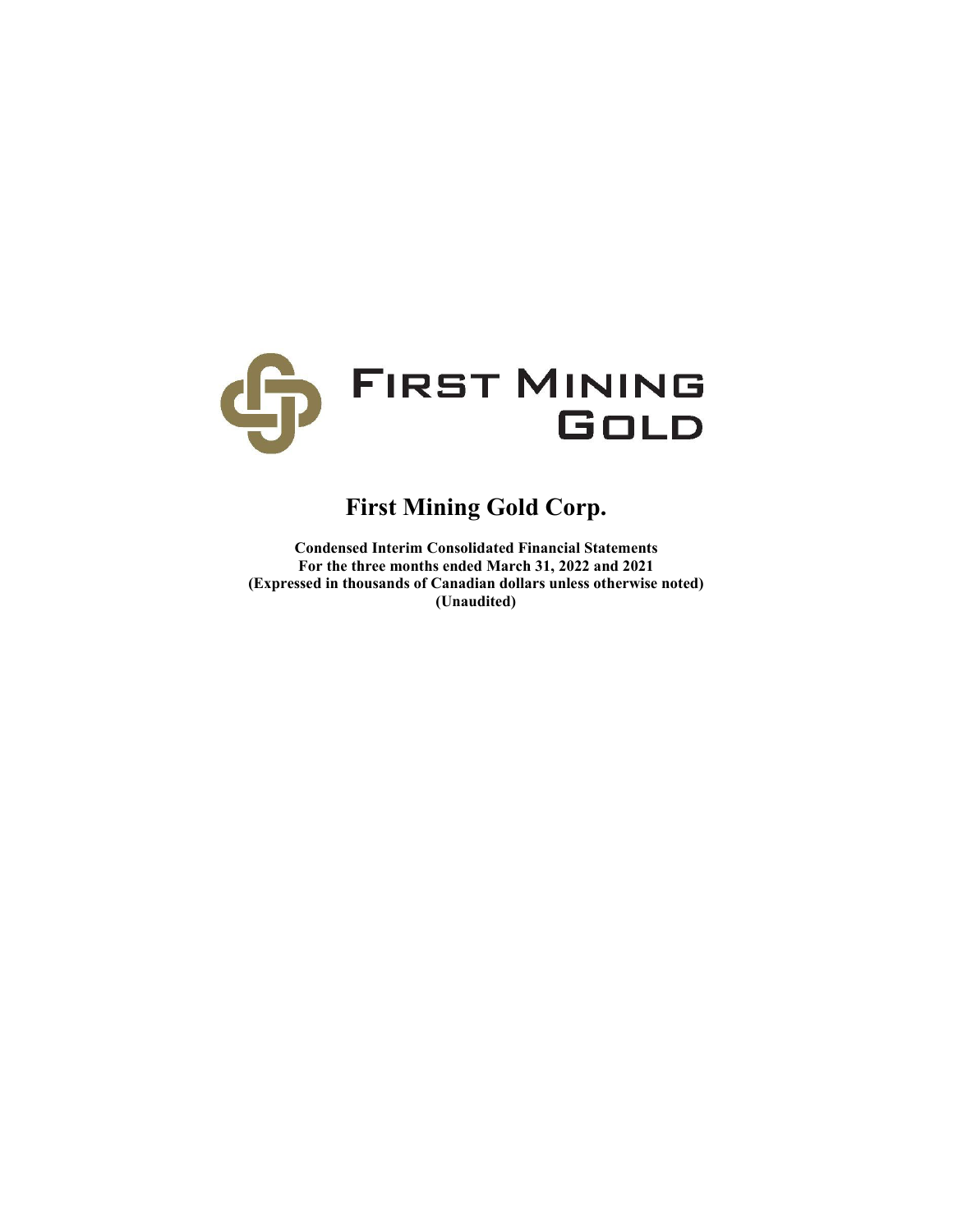

# **First Mining Gold Corp.**

**Condensed Interim Consolidated Financial Statements For the three months ended March 31, 2022 and 2021 (Expressed in thousands of Canadian dollars unless otherwise noted) (Unaudited)**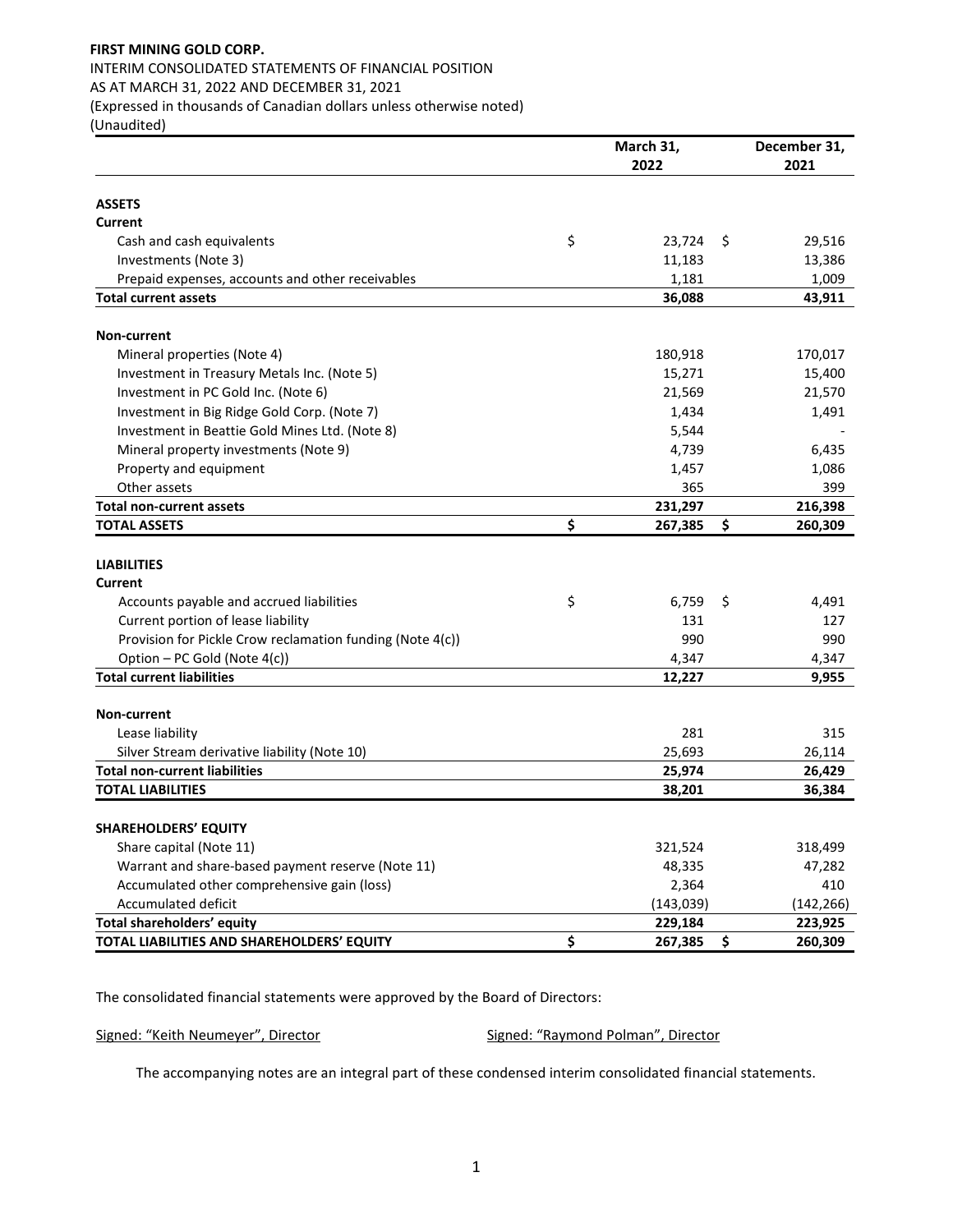# **FIRST MINING GOLD CORP.**  INTERIM CONSOLIDATED STATEMENTS OF FINANCIAL POSITION AS AT MARCH 31, 2022 AND DECEMBER 31, 2021 (Expressed in thousands of Canadian dollars unless otherwise noted)

(Unaudited)

|                                                           | March 31,     | December 31,  |  |  |
|-----------------------------------------------------------|---------------|---------------|--|--|
|                                                           | 2022          | 2021          |  |  |
| <b>ASSETS</b>                                             |               |               |  |  |
| Current                                                   |               |               |  |  |
| Cash and cash equivalents                                 | \$<br>23,724  | \$<br>29,516  |  |  |
| Investments (Note 3)                                      | 11,183        | 13,386        |  |  |
| Prepaid expenses, accounts and other receivables          | 1,181         | 1,009         |  |  |
| <b>Total current assets</b>                               | 36,088        | 43,911        |  |  |
|                                                           |               |               |  |  |
| <b>Non-current</b>                                        |               |               |  |  |
| Mineral properties (Note 4)                               | 180,918       | 170,017       |  |  |
| Investment in Treasury Metals Inc. (Note 5)               | 15,271        | 15,400        |  |  |
| Investment in PC Gold Inc. (Note 6)                       | 21,569        | 21,570        |  |  |
| Investment in Big Ridge Gold Corp. (Note 7)               | 1,434         | 1,491         |  |  |
| Investment in Beattie Gold Mines Ltd. (Note 8)            | 5,544         |               |  |  |
| Mineral property investments (Note 9)                     | 4,739         | 6,435         |  |  |
| Property and equipment                                    | 1,457         | 1,086         |  |  |
| Other assets                                              | 365           | 399           |  |  |
| <b>Total non-current assets</b>                           | 231,297       | 216,398       |  |  |
| <b>TOTAL ASSETS</b>                                       | \$<br>267,385 | \$<br>260,309 |  |  |
|                                                           |               |               |  |  |
| <b>LIABILITIES</b>                                        |               |               |  |  |
| Current                                                   |               |               |  |  |
| Accounts payable and accrued liabilities                  | \$<br>6,759   | \$<br>4,491   |  |  |
| Current portion of lease liability                        | 131           | 127           |  |  |
| Provision for Pickle Crow reclamation funding (Note 4(c)) | 990           | 990           |  |  |
| Option - PC Gold (Note 4(c))                              | 4,347         | 4,347         |  |  |
| <b>Total current liabilities</b>                          | 12,227        | 9,955         |  |  |
|                                                           |               |               |  |  |
| <b>Non-current</b>                                        |               |               |  |  |
| Lease liability                                           | 281           | 315           |  |  |
| Silver Stream derivative liability (Note 10)              | 25,693        | 26,114        |  |  |
| <b>Total non-current liabilities</b>                      | 25,974        | 26,429        |  |  |
| <b>TOTAL LIABILITIES</b>                                  | 38,201        | 36,384        |  |  |
| <b>SHAREHOLDERS' EQUITY</b>                               |               |               |  |  |
| Share capital (Note 11)                                   | 321,524       | 318,499       |  |  |
| Warrant and share-based payment reserve (Note 11)         | 48,335        | 47,282        |  |  |
| Accumulated other comprehensive gain (loss)               | 2,364         | 410           |  |  |
| Accumulated deficit                                       | (143, 039)    | (142,266)     |  |  |
| Total shareholders' equity                                | 229,184       | 223,925       |  |  |
| TOTAL LIABILITIES AND SHAREHOLDERS' EQUITY                | \$<br>267,385 | \$<br>260,309 |  |  |

The consolidated financial statements were approved by the Board of Directors:

Signed: "Keith Neumeyer", Director Signed: "Raymond Polman", Director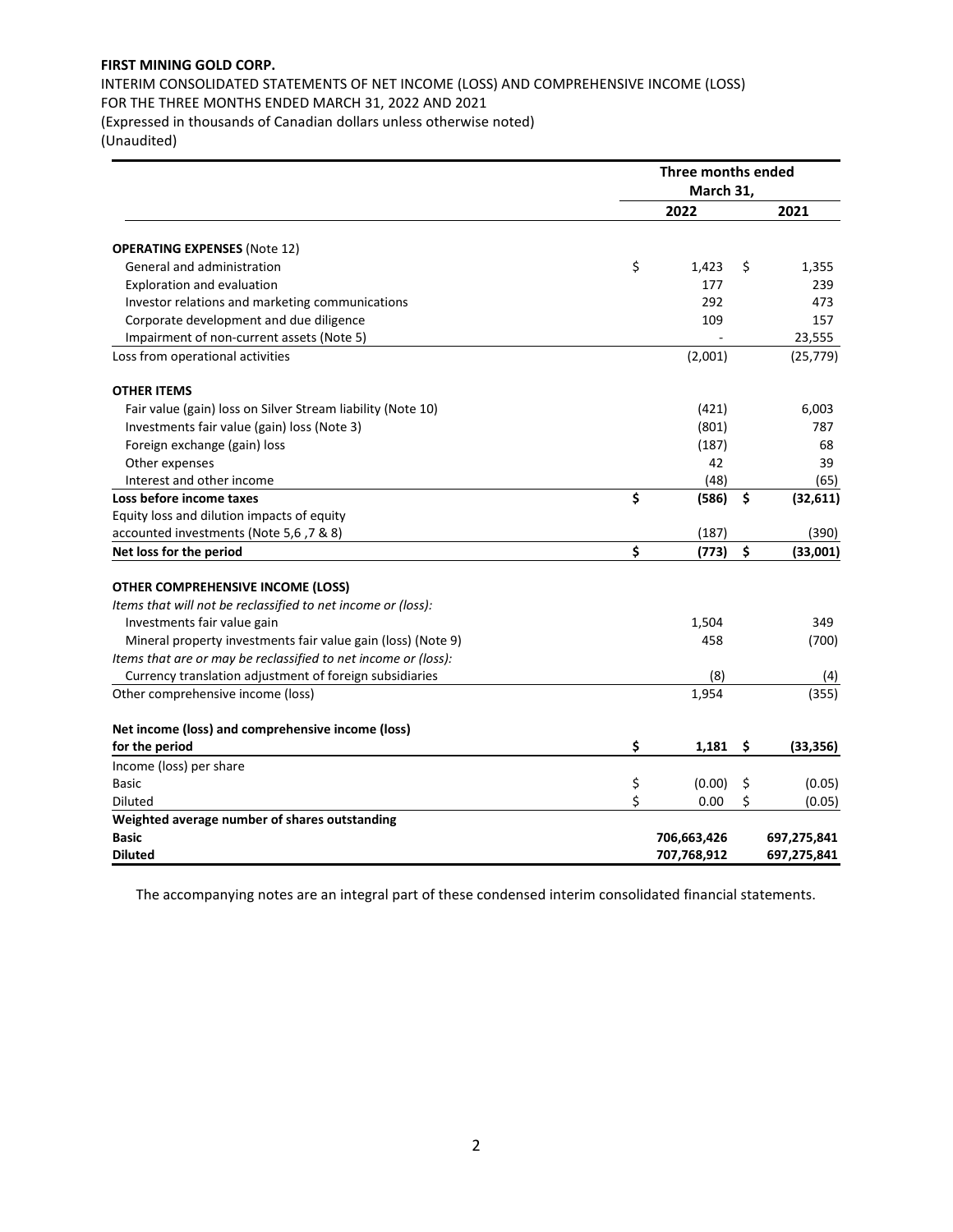INTERIM CONSOLIDATED STATEMENTS OF NET INCOME (LOSS) AND COMPREHENSIVE INCOME (LOSS) FOR THE THREE MONTHS ENDED MARCH 31, 2022 AND 2021

(Expressed in thousands of Canadian dollars unless otherwise noted)

(Unaudited)

|                                                                | Three months ended<br>March 31, |                 |
|----------------------------------------------------------------|---------------------------------|-----------------|
|                                                                | 2022                            | 2021            |
| <b>OPERATING EXPENSES (Note 12)</b>                            |                                 |                 |
| General and administration                                     | \$<br>1,423                     | \$<br>1,355     |
| Exploration and evaluation                                     | 177                             | 239             |
| Investor relations and marketing communications                | 292                             | 473             |
| Corporate development and due diligence                        | 109                             | 157             |
| Impairment of non-current assets (Note 5)                      |                                 | 23,555          |
| Loss from operational activities                               | (2,001)                         | (25, 779)       |
| <b>OTHER ITEMS</b>                                             |                                 |                 |
| Fair value (gain) loss on Silver Stream liability (Note 10)    | (421)                           | 6,003           |
| Investments fair value (gain) loss (Note 3)                    | (801)                           | 787             |
| Foreign exchange (gain) loss                                   | (187)                           | 68              |
| Other expenses                                                 | 42                              | 39              |
| Interest and other income                                      | (48)                            | (65)            |
| Loss before income taxes                                       | \$<br>(586)                     | \$<br>(32, 611) |
| Equity loss and dilution impacts of equity                     |                                 |                 |
| accounted investments (Note 5,6, 7 & 8)                        | (187)                           | (390)           |
| Net loss for the period                                        | \$<br>(773)                     | \$<br>(33,001)  |
| <b>OTHER COMPREHENSIVE INCOME (LOSS)</b>                       |                                 |                 |
| Items that will not be reclassified to net income or (loss):   |                                 |                 |
| Investments fair value gain                                    | 1,504                           | 349             |
| Mineral property investments fair value gain (loss) (Note 9)   | 458                             | (700)           |
| Items that are or may be reclassified to net income or (loss): |                                 |                 |
| Currency translation adjustment of foreign subsidiaries        | (8)                             | (4)             |
| Other comprehensive income (loss)                              | 1,954                           | (355)           |
| Net income (loss) and comprehensive income (loss)              |                                 |                 |
| for the period                                                 | \$<br>1,181                     | \$<br>(33, 356) |
| Income (loss) per share                                        |                                 |                 |
| <b>Basic</b>                                                   | \$<br>(0.00)                    | \$<br>(0.05)    |
| <b>Diluted</b>                                                 | \$<br>0.00                      | \$<br>(0.05)    |
| Weighted average number of shares outstanding                  |                                 |                 |
| <b>Basic</b>                                                   | 706,663,426                     | 697,275,841     |
| <b>Diluted</b>                                                 | 707,768,912                     | 697,275,841     |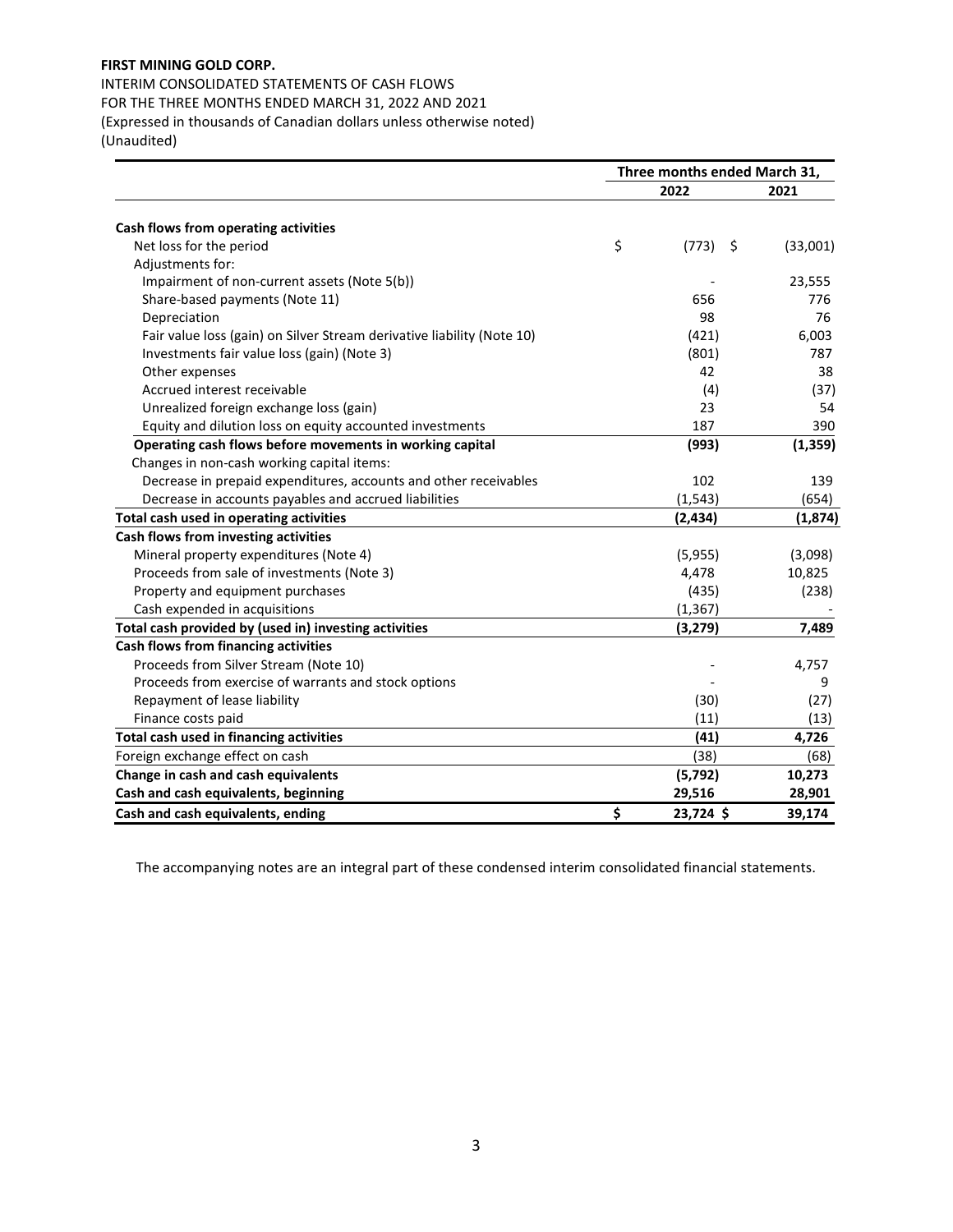INTERIM CONSOLIDATED STATEMENTS OF CASH FLOWS FOR THE THREE MONTHS ENDED MARCH 31, 2022 AND 2021 (Expressed in thousands of Canadian dollars unless otherwise noted) (Unaudited)

|                                                                        | Three months ended March 31, |          |
|------------------------------------------------------------------------|------------------------------|----------|
|                                                                        | 2022                         | 2021     |
| Cash flows from operating activities                                   |                              |          |
| Net loss for the period                                                | \$<br>(773)<br>\$            | (33,001) |
| Adjustments for:                                                       |                              |          |
| Impairment of non-current assets (Note 5(b))                           |                              | 23,555   |
| Share-based payments (Note 11)                                         | 656                          | 776      |
| Depreciation                                                           | 98                           | 76       |
| Fair value loss (gain) on Silver Stream derivative liability (Note 10) | (421)                        | 6,003    |
| Investments fair value loss (gain) (Note 3)                            | (801)                        | 787      |
| Other expenses                                                         | 42                           | 38       |
| Accrued interest receivable                                            | (4)                          | (37)     |
| Unrealized foreign exchange loss (gain)                                | 23                           | 54       |
| Equity and dilution loss on equity accounted investments               | 187                          | 390      |
| Operating cash flows before movements in working capital               | (993)                        | (1, 359) |
| Changes in non-cash working capital items:                             |                              |          |
| Decrease in prepaid expenditures, accounts and other receivables       | 102                          | 139      |
| Decrease in accounts payables and accrued liabilities                  | (1, 543)                     | (654)    |
| Total cash used in operating activities                                | (2, 434)                     | (1,874)  |
| Cash flows from investing activities                                   |                              |          |
| Mineral property expenditures (Note 4)                                 | (5,955)                      | (3,098)  |
| Proceeds from sale of investments (Note 3)                             | 4,478                        | 10,825   |
| Property and equipment purchases                                       | (435)                        | (238)    |
| Cash expended in acquisitions                                          | (1, 367)                     |          |
| Total cash provided by (used in) investing activities                  | (3, 279)                     | 7,489    |
| Cash flows from financing activities                                   |                              |          |
| Proceeds from Silver Stream (Note 10)                                  |                              | 4,757    |
| Proceeds from exercise of warrants and stock options                   |                              | 9        |
| Repayment of lease liability                                           | (30)                         | (27)     |
| Finance costs paid                                                     | (11)                         | (13)     |
| Total cash used in financing activities                                | (41)                         | 4,726    |
| Foreign exchange effect on cash                                        | (38)                         | (68)     |
| Change in cash and cash equivalents                                    | (5, 792)                     | 10,273   |
| Cash and cash equivalents, beginning                                   | 29,516                       | 28,901   |
| Cash and cash equivalents, ending                                      | \$<br>23,724 \$              | 39,174   |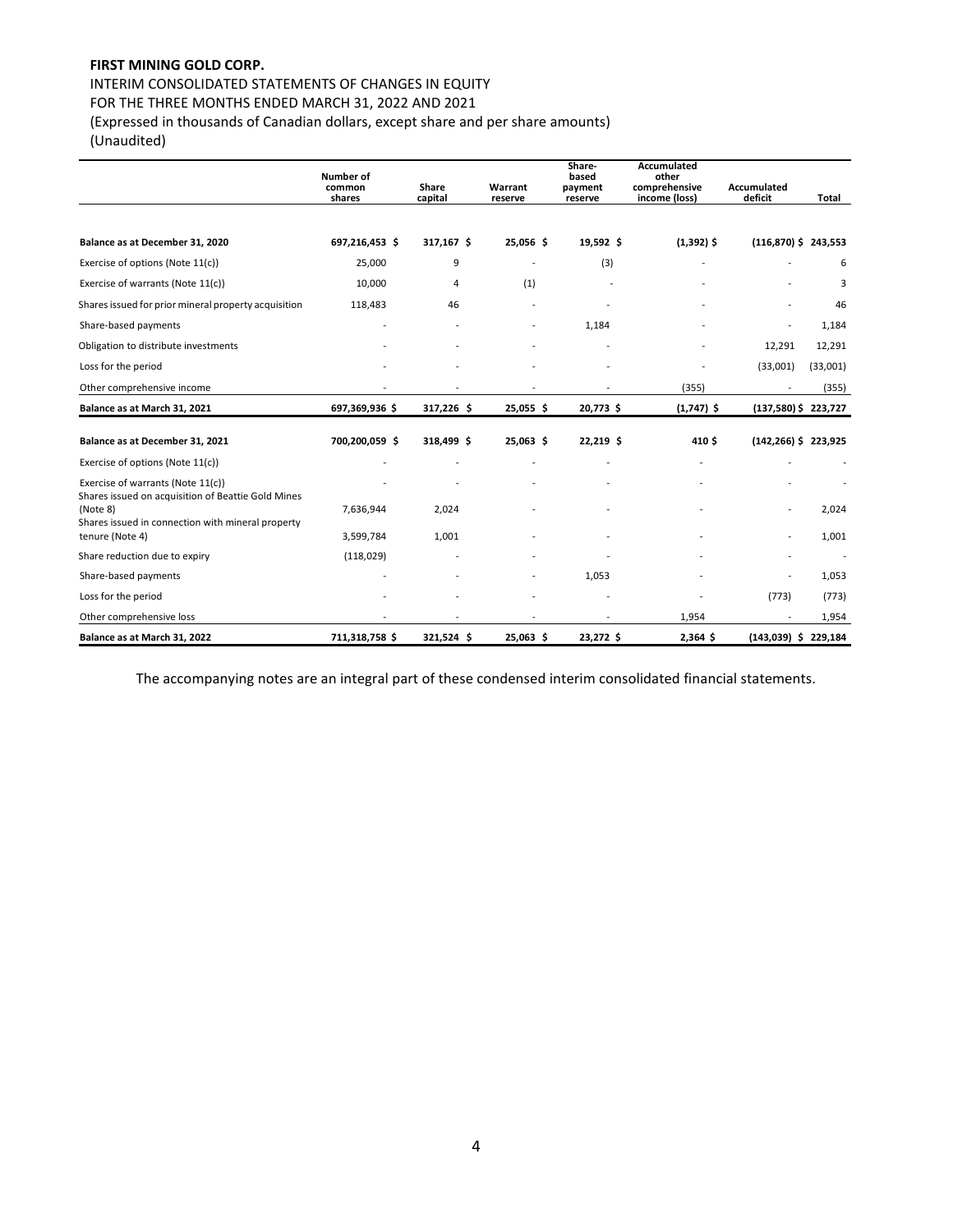# INTERIM CONSOLIDATED STATEMENTS OF CHANGES IN EQUITY

FOR THE THREE MONTHS ENDED MARCH 31, 2022 AND 2021

(Expressed in thousands of Canadian dollars, except share and per share amounts)

(Unaudited)

|                                                                                         | Number of<br>common | Share                    | Warrant   | Share-<br>based<br>payment | Accumulated<br>other<br>comprehensive | <b>Accumulated</b>       |          |
|-----------------------------------------------------------------------------------------|---------------------|--------------------------|-----------|----------------------------|---------------------------------------|--------------------------|----------|
|                                                                                         | shares              | capital                  | reserve   | reserve                    | income (loss)                         | deficit                  | Total    |
| Balance as at December 31, 2020                                                         | 697,216,453 \$      | 317,167 \$               | 25,056 \$ | 19,592 \$                  | $(1,392)$ \$                          | $(116,870)$ \$ 243,553   |          |
| Exercise of options (Note 11(c))                                                        | 25,000              | 9                        |           | (3)                        |                                       |                          | 6        |
| Exercise of warrants (Note 11(c))                                                       | 10,000              | $\overline{4}$           | (1)       |                            |                                       |                          | 3        |
| Shares issued for prior mineral property acquisition                                    | 118,483             | 46                       |           |                            |                                       |                          | 46       |
| Share-based payments                                                                    |                     |                          |           | 1,184                      |                                       |                          | 1,184    |
| Obligation to distribute investments                                                    |                     |                          |           |                            |                                       | 12,291                   | 12,291   |
| Loss for the period                                                                     |                     |                          |           |                            |                                       | (33,001)                 | (33,001) |
| Other comprehensive income                                                              |                     |                          |           |                            | (355)                                 |                          | (355)    |
| Balance as at March 31, 2021                                                            | 697,369,936 \$      | 317,226 \$               | 25,055 \$ | 20,773 \$                  | $(1,747)$ \$                          | $(137,580)$ \$ 223,727   |          |
| Balance as at December 31, 2021                                                         | 700,200,059 \$      | 318,499 \$               | 25,063 \$ | 22,219 \$                  | 410\$                                 | $(142, 266)$ \$ 223,925  |          |
| Exercise of options (Note 11(c))                                                        |                     |                          |           |                            |                                       |                          |          |
| Exercise of warrants (Note 11(c))<br>Shares issued on acquisition of Beattie Gold Mines |                     |                          |           |                            |                                       |                          |          |
| (Note 8)<br>Shares issued in connection with mineral property                           | 7,636,944           | 2,024                    |           |                            |                                       |                          | 2,024    |
| tenure (Note 4)                                                                         | 3,599,784           | 1,001                    |           |                            |                                       |                          | 1,001    |
| Share reduction due to expiry                                                           | (118, 029)          |                          |           |                            |                                       |                          |          |
| Share-based payments                                                                    |                     |                          |           | 1,053                      |                                       |                          | 1,053    |
| Loss for the period                                                                     |                     |                          |           |                            |                                       | (773)                    | (773)    |
| Other comprehensive loss                                                                |                     | $\overline{\phantom{a}}$ |           | $\overline{\phantom{a}}$   | 1,954                                 | $\overline{\phantom{a}}$ | 1,954    |
| Balance as at March 31, 2022                                                            | 711,318,758 \$      | 321,524 \$               | 25,063 \$ | 23,272 \$                  | 2,364 \$                              | $(143,039)$ \$ 229,184   |          |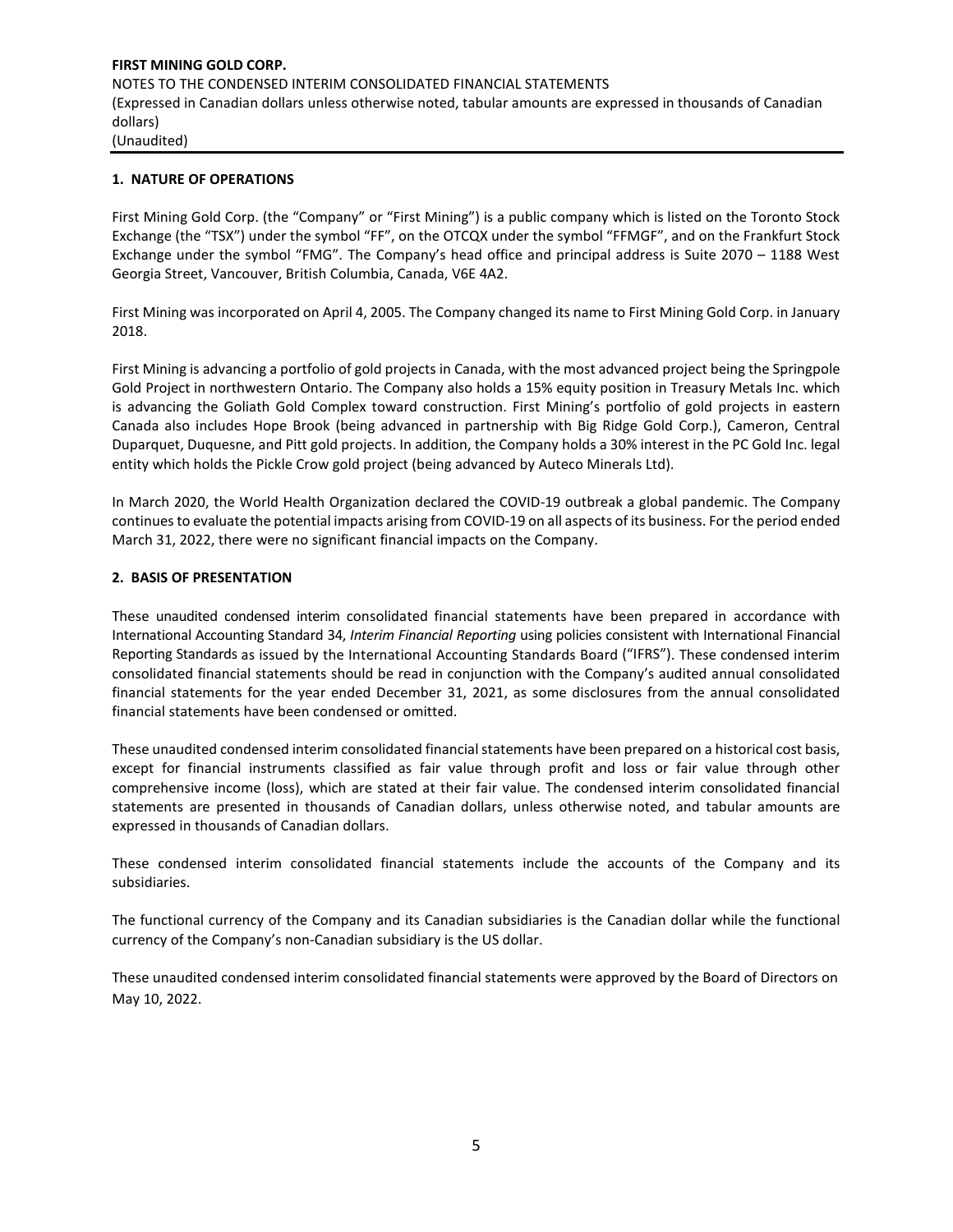**FIRST MINING GOLD CORP.**  NOTES TO THE CONDENSED INTERIM CONSOLIDATED FINANCIAL STATEMENTS (Expressed in Canadian dollars unless otherwise noted, tabular amounts are expressed in thousands of Canadian dollars) (Unaudited)

#### **1. NATURE OF OPERATIONS**

First Mining Gold Corp. (the "Company" or "First Mining") is a public company which is listed on the Toronto Stock Exchange (the "TSX") under the symbol "FF", on the OTCQX under the symbol "FFMGF", and on the Frankfurt Stock Exchange under the symbol "FMG". The Company's head office and principal address is Suite 2070 – 1188 West Georgia Street, Vancouver, British Columbia, Canada, V6E 4A2.

First Mining was incorporated on April 4, 2005. The Company changed its name to First Mining Gold Corp. in January 2018.

First Mining is advancing a portfolio of gold projects in Canada, with the most advanced project being the Springpole Gold Project in northwestern Ontario. The Company also holds a 15% equity position in Treasury Metals Inc. which is advancing the Goliath Gold Complex toward construction. First Mining's portfolio of gold projects in eastern Canada also includes Hope Brook (being [advanced in partnership with Big Ridge Gold](https://firstmininggold.com/news/releases/first-mining-announces-closing-of-earn-in-transaction-with-big-ridge-gold) Corp.), Cameron, Central Duparquet, Duquesne, and Pitt gold projects. In addition, the Company holds a 30% interest in the PC Gold Inc. legal entity which holds the Pickle Crow gold project (bein[g advanced by Auteco Minerals L](https://can01.safelinks.protection.outlook.com/?url=https%3A%2F%2Fwww.firstmininggold.com%2Fnews%2Freleases%2Ffirst-mining-partners-with-auteco-to-advance-its-pickle-crow-gold-project&data=02%7C01%7Cspiros%40firstmininggold.com%7Cfd619baf467243ac240108d84fc21453%7C3564d7a87e774cf9aee2f8fb0795b85e%7C0%7C0%7C637347042261240296&sdata=4T7jmXs5w440KrLTkegXHGGoD8HxJ%2FZRX9qzlYW91Ks%3D&reserved=0)td).

In March 2020, the World Health Organization declared the COVID-19 outbreak a global pandemic. The Company continues to evaluate the potential impacts arising from COVID-19 on all aspects of its business. For the period ended March 31, 2022, there were no significant financial impacts on the Company.

#### **2. BASIS OF PRESENTATION**

These unaudited condensed interim consolidated financial statements have been prepared in accordance with International Accounting Standard 34, *Interim Financial Reporting* using policies consistent with International Financial Reporting Standards as issued by the International Accounting Standards Board ("IFRS"). These condensed interim consolidated financial statements should be read in conjunction with the Company's audited annual consolidated financial statements for the year ended December 31, 2021, as some disclosures from the annual consolidated financial statements have been condensed or omitted.

These unaudited condensed interim consolidated financial statements have been prepared on a historical cost basis, except for financial instruments classified as fair value through profit and loss or fair value through other comprehensive income (loss), which are stated at their fair value. The condensed interim consolidated financial statements are presented in thousands of Canadian dollars, unless otherwise noted, and tabular amounts are expressed in thousands of Canadian dollars.

These condensed interim consolidated financial statements include the accounts of the Company and its subsidiaries.

The functional currency of the Company and its Canadian subsidiaries is the Canadian dollar while the functional currency of the Company's non-Canadian subsidiary is the US dollar.

These unaudited condensed interim consolidated financial statements were approved by the Board of Directors on May 10, 2022.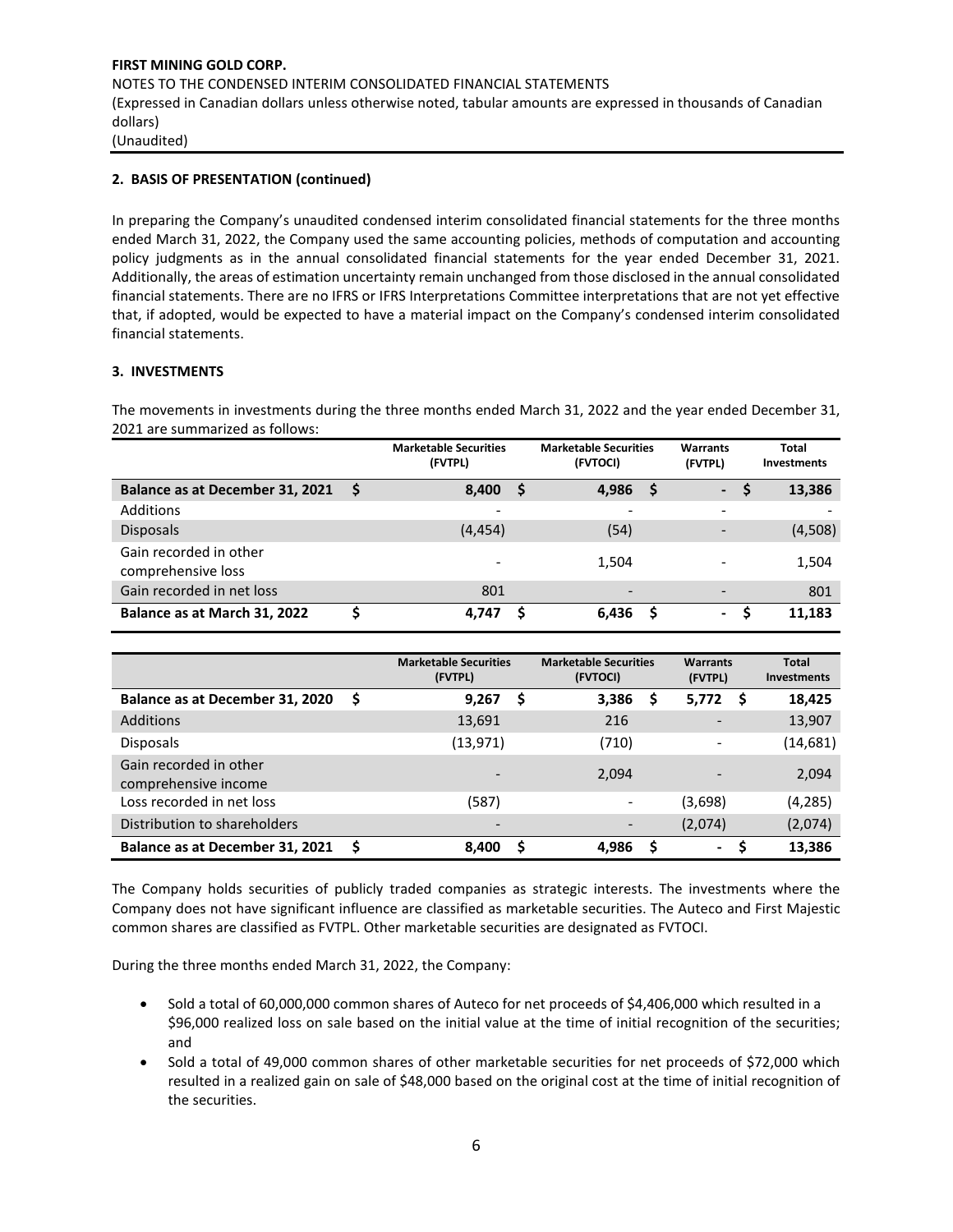# **2. BASIS OF PRESENTATION (continued)**

In preparing the Company's unaudited condensed interim consolidated financial statements for the three months ended March 31, 2022, the Company used the same accounting policies, methods of computation and accounting policy judgments as in the annual consolidated financial statements for the year ended December 31, 2021. Additionally, the areas of estimation uncertainty remain unchanged from those disclosed in the annual consolidated financial statements. There are no IFRS or IFRS Interpretations Committee interpretations that are not yet effective that, if adopted, would be expected to have a material impact on the Company's condensed interim consolidated financial statements.

# **3. INVESTMENTS**

The movements in investments during the three months ended March 31, 2022 and the year ended December 31, 2021 are summarized as follows:

|                                              |     | <b>Marketable Securities</b><br>(FVTPL) |    | <b>Marketable Securities</b><br>(FVTOCI) |   | <b>Warrants</b><br>(FVTPL) | Total<br><b>Investments</b> |
|----------------------------------------------|-----|-----------------------------------------|----|------------------------------------------|---|----------------------------|-----------------------------|
| Balance as at December 31, 2021              | - S | 8,400                                   | -S | 4,986                                    | S | <b>Tana</b>                | 13,386                      |
| Additions                                    |     | -                                       |    | -                                        |   | $\overline{\phantom{a}}$   |                             |
| <b>Disposals</b>                             |     | (4, 454)                                |    | (54)                                     |   | $\overline{\phantom{0}}$   | (4,508)                     |
| Gain recorded in other<br>comprehensive loss |     |                                         |    | 1,504                                    |   | $\overline{\phantom{0}}$   | 1,504                       |
| Gain recorded in net loss                    |     | 801                                     |    | $\overline{\phantom{0}}$                 |   | $\overline{\phantom{0}}$   | 801                         |
| Balance as at March 31, 2022                 |     | 4.747                                   | s  | 6,436                                    |   | $\sim$                     | 11,183                      |

|                                                |   | <b>Marketable Securities</b><br>(FVTPL) |   | <b>Marketable Securities</b><br>(FVTOCI) |   | <b>Warrants</b><br>(FVTPL) | <b>Total</b><br><b>Investments</b> |
|------------------------------------------------|---|-----------------------------------------|---|------------------------------------------|---|----------------------------|------------------------------------|
| Balance as at December 31, 2020                | S | 9,267                                   | S | 3,386                                    | S | 5,772<br><b>S</b>          | 18,425                             |
| Additions                                      |   | 13,691                                  |   | 216                                      |   |                            | 13,907                             |
| <b>Disposals</b>                               |   | (13, 971)                               |   | (710)                                    |   |                            | (14, 681)                          |
| Gain recorded in other<br>comprehensive income |   |                                         |   | 2,094                                    |   |                            | 2,094                              |
| Loss recorded in net loss                      |   | (587)                                   |   |                                          |   | (3,698)                    | (4, 285)                           |
| Distribution to shareholders                   |   | $\qquad \qquad \blacksquare$            |   |                                          |   | (2,074)                    | (2,074)                            |
| Balance as at December 31, 2021                | S | 8,400                                   | S | 4,986                                    | S | $\blacksquare$             | 13.386                             |

The Company holds securities of publicly traded companies as strategic interests. The investments where the Company does not have significant influence are classified as marketable securities. The Auteco and First Majestic common shares are classified as FVTPL. Other marketable securities are designated as FVTOCI.

During the three months ended March 31, 2022, the Company:

- Sold a total of 60,000,000 common shares of Auteco for net proceeds of \$4,406,000 which resulted in a \$96,000 realized loss on sale based on the initial value at the time of initial recognition of the securities; and
- Sold a total of 49,000 common shares of other marketable securities for net proceeds of \$72,000 which resulted in a realized gain on sale of \$48,000 based on the original cost at the time of initial recognition of the securities.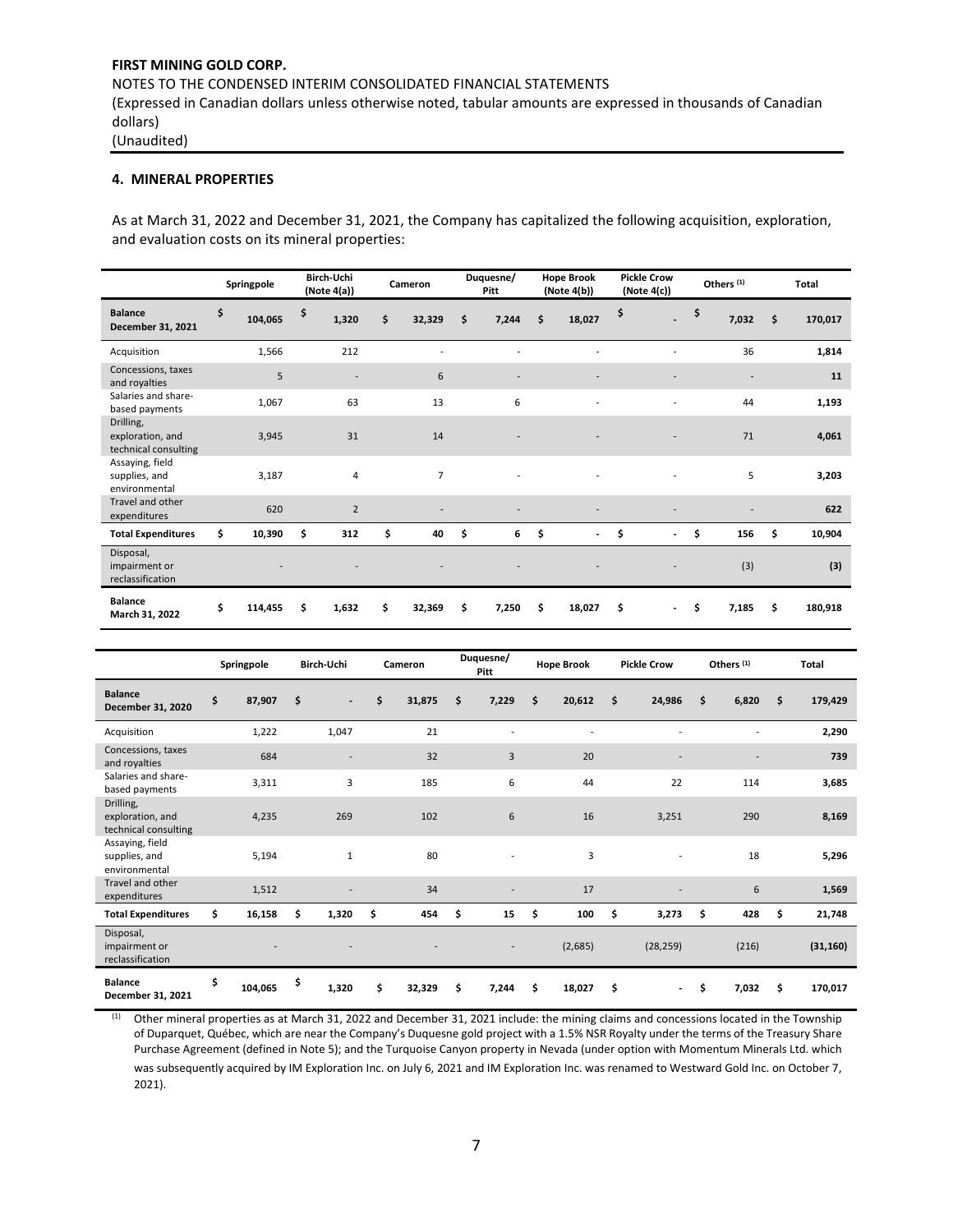# **4. MINERAL PROPERTIES**

As at March 31, 2022 and December 31, 2021, the Company has capitalized the following acquisition, exploration, and evaluation costs on its mineral properties:

|                                                       | Springpole    | Birch-Uchi<br>(Note 4(a)) | Cameron        | Duquesne/<br><b>Pitt</b> |    | <b>Hope Brook</b><br>(Note 4(b)) | <b>Pickle Crow</b><br>(Note 4(c))  | Others <sup>(1)</sup> | Total         |
|-------------------------------------------------------|---------------|---------------------------|----------------|--------------------------|----|----------------------------------|------------------------------------|-----------------------|---------------|
| <b>Balance</b><br>December 31, 2021                   | \$<br>104,065 | \$<br>1,320               | \$<br>32,329   | \$<br>7,244              | \$ | 18,027                           | \$<br>$\overline{\phantom{0}}$     | \$<br>7,032           | \$<br>170,017 |
| Acquisition                                           | 1,566         | 212                       |                |                          |    |                                  |                                    | 36                    | 1,814         |
| Concessions, taxes<br>and royalties                   | 5             | $\overline{\phantom{a}}$  | 6              |                          |    |                                  |                                    |                       | 11            |
| Salaries and share-<br>based payments                 | 1,067         | 63                        | 13             | 6                        |    |                                  |                                    | 44                    | 1,193         |
| Drilling,<br>exploration, and<br>technical consulting | 3,945         | 31                        | 14             |                          |    |                                  |                                    | 71                    | 4,061         |
| Assaying, field<br>supplies, and<br>environmental     | 3,187         | 4                         | $\overline{7}$ |                          |    |                                  |                                    | 5                     | 3,203         |
| Travel and other<br>expenditures                      | 620           | $\overline{2}$            |                |                          |    |                                  |                                    |                       | 622           |
| <b>Total Expenditures</b>                             | \$<br>10,390  | \$<br>312                 | \$<br>40       | \$<br>6                  | \$ | $\overline{\phantom{a}}$         | \$<br>$\qquad \qquad \blacksquare$ | \$<br>156             | \$<br>10,904  |
| Disposal,<br>impairment or<br>reclassification        |               |                           |                |                          |    |                                  |                                    | (3)                   | (3)           |
| <b>Balance</b><br>March 31, 2022                      | \$<br>114,455 | \$<br>1,632               | \$<br>32,369   | \$<br>7,250              | Ś. | 18,027                           | \$<br>$\overline{\phantom{a}}$     | \$<br>7,185           | \$<br>180,918 |

|                                                       | Springpole    | Birch-Uchi |                          | Cameron      | Duquesne/<br><b>Pitt</b> | <b>Hope Brook</b> | <b>Pickle Crow</b>             | Others <sup>(1)</sup>    | <b>Total</b>  |
|-------------------------------------------------------|---------------|------------|--------------------------|--------------|--------------------------|-------------------|--------------------------------|--------------------------|---------------|
| <b>Balance</b><br>December 31, 2020                   | \$<br>87,907  | \$         | $\overline{\phantom{0}}$ | \$<br>31,875 | \$<br>7,229              | \$<br>20,612      | \$<br>24,986                   | \$<br>6,820              | \$<br>179,429 |
| Acquisition                                           | 1,222         |            | 1,047                    | 21           |                          |                   |                                |                          | 2,290         |
| Concessions, taxes<br>and royalties                   | 684           |            | ۰                        | 32           | 3                        | 20                |                                | $\overline{\phantom{a}}$ | 739           |
| Salaries and share-<br>based payments                 | 3,311         |            | 3                        | 185          | 6                        | 44                | 22                             | 114                      | 3,685         |
| Drilling,<br>exploration, and<br>technical consulting | 4,235         |            | 269                      | 102          | 6                        | 16                | 3,251                          | 290                      | 8,169         |
| Assaying, field<br>supplies, and<br>environmental     | 5,194         |            | $\mathbf{1}$             | 80           |                          | 3                 |                                | 18                       | 5,296         |
| Travel and other<br>expenditures                      | 1,512         |            |                          | 34           | $\overline{\phantom{a}}$ | 17                |                                | 6                        | 1,569         |
| <b>Total Expenditures</b>                             | \$<br>16,158  | \$         | 1,320                    | \$<br>454    | \$<br>15                 | \$<br>100         | \$<br>3,273                    | \$<br>428                | \$<br>21,748  |
| Disposal,<br>impairment or<br>reclassification        |               |            |                          |              |                          | (2,685)           | (28, 259)                      | (216)                    | (31, 160)     |
| <b>Balance</b><br>December 31, 2021                   | \$<br>104,065 | \$         | 1,320                    | \$<br>32,329 | \$<br>7,244              | \$<br>18,027      | \$<br>$\overline{\phantom{a}}$ | \$<br>7,032              | \$<br>170,017 |

 $<sup>(1)</sup>$  Other mineral properties as at March 31, 2022 and December 31, 2021 include: the mining claims and concessions located in the Township</sup> of Duparquet, Québec, which are near the Company's Duquesne gold project with a 1.5% NSR Royalty under the terms of the Treasury Share Purchase Agreement (defined in Note 5); and the Turquoise Canyon property in Nevada (under option with Momentum Minerals Ltd. which was subsequently acquired by IM Exploration Inc. on July 6, 2021 and IM Exploration Inc. was renamed to Westward Gold Inc. on October 7, 2021).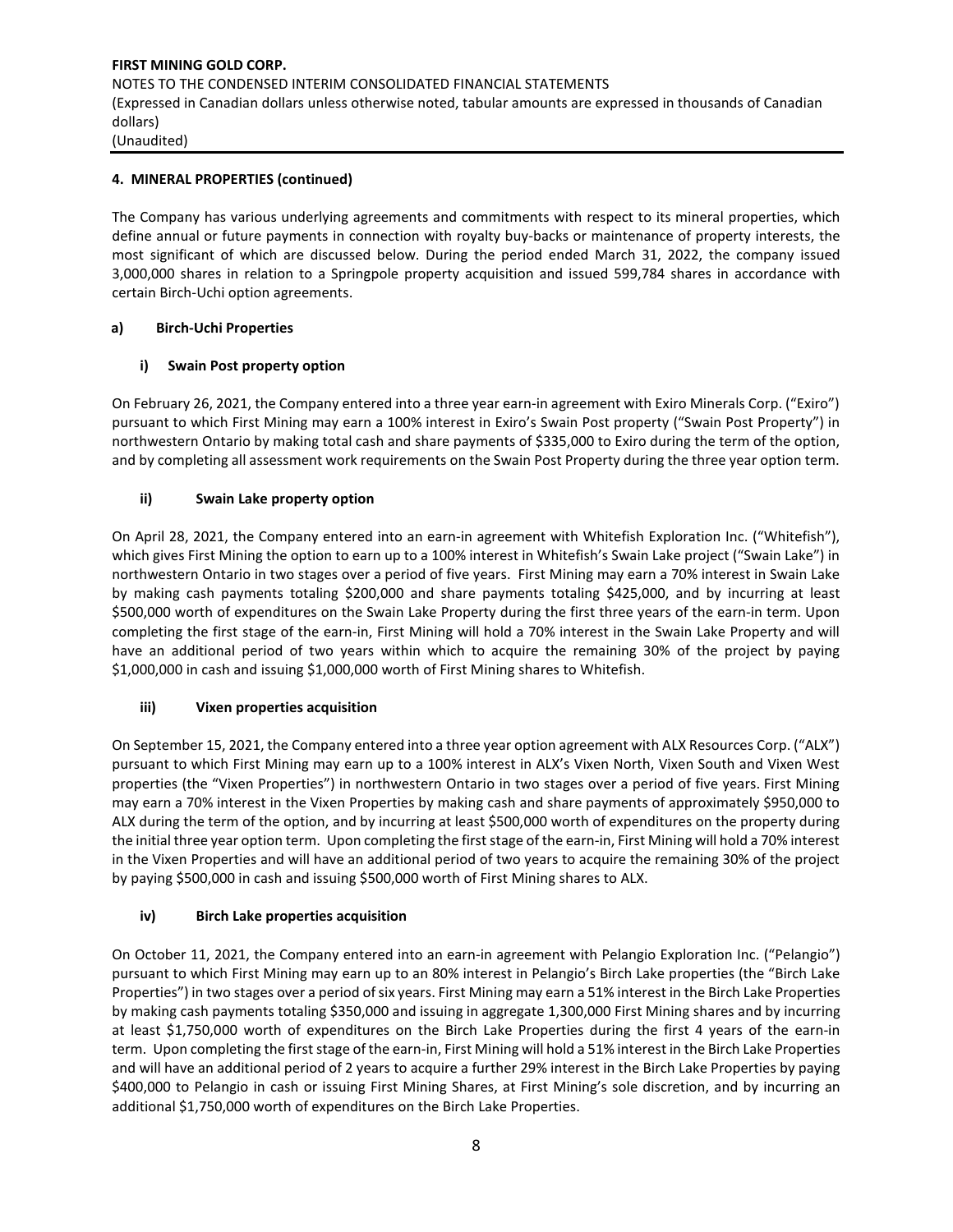# **4. MINERAL PROPERTIES (continued)**

The Company has various underlying agreements and commitments with respect to its mineral properties, which define annual or future payments in connection with royalty buy-backs or maintenance of property interests, the most significant of which are discussed below. During the period ended March 31, 2022, the company issued 3,000,000 shares in relation to a Springpole property acquisition and issued 599,784 shares in accordance with certain Birch-Uchi option agreements.

# **a) Birch-Uchi Properties**

# **i) Swain Post property option**

On February 26, 2021, the Company entered into a three year earn-in agreement with Exiro Minerals Corp. ("Exiro") pursuant to which First Mining may earn a 100% interest in Exiro's Swain Post property ("Swain Post Property") in northwestern Ontario by making total cash and share payments of \$335,000 to Exiro during the term of the option, and by completing all assessment work requirements on the Swain Post Property during the three year option term.

# **ii) Swain Lake property option**

On April 28, 2021, the Company entered into an earn-in agreement with Whitefish Exploration Inc. ("Whitefish"), which gives First Mining the option to earn up to a 100% interest in Whitefish's Swain Lake project ("Swain Lake") in northwestern Ontario in two stages over a period of five years. First Mining may earn a 70% interest in Swain Lake by making cash payments totaling \$200,000 and share payments totaling \$425,000, and by incurring at least \$500,000 worth of expenditures on the Swain Lake Property during the first three years of the earn-in term. Upon completing the first stage of the earn-in, First Mining will hold a 70% interest in the Swain Lake Property and will have an additional period of two years within which to acquire the remaining 30% of the project by paying \$1,000,000 in cash and issuing \$1,000,000 worth of First Mining shares to Whitefish.

# **iii) Vixen properties acquisition**

On September 15, 2021, the Company entered into a three year option agreement with ALX Resources Corp. ("ALX") pursuant to which First Mining may earn up to a 100% interest in ALX's Vixen North, Vixen South and Vixen West properties (the "Vixen Properties") in northwestern Ontario in two stages over a period of five years. First Mining may earn a 70% interest in the Vixen Properties by making cash and share payments of approximately \$950,000 to ALX during the term of the option, and by incurring at least \$500,000 worth of expenditures on the property during the initial three year option term. Upon completing the first stage of the earn-in, First Mining will hold a 70% interest in the Vixen Properties and will have an additional period of two years to acquire the remaining 30% of the project by paying \$500,000 in cash and issuing \$500,000 worth of First Mining shares to ALX.

# **iv) Birch Lake properties acquisition**

On October 11, 2021, the Company entered into an earn-in agreement with Pelangio Exploration Inc. ("Pelangio") pursuant to which First Mining may earn up to an 80% interest in Pelangio's Birch Lake properties (the "Birch Lake Properties") in two stages over a period of six years. First Mining may earn a 51% interest in the Birch Lake Properties by making cash payments totaling \$350,000 and issuing in aggregate 1,300,000 First Mining shares and by incurring at least \$1,750,000 worth of expenditures on the Birch Lake Properties during the first 4 years of the earn-in term. Upon completing the first stage of the earn-in, First Mining will hold a 51% interest in the Birch Lake Properties and will have an additional period of 2 years to acquire a further 29% interest in the Birch Lake Properties by paying \$400,000 to Pelangio in cash or issuing First Mining Shares, at First Mining's sole discretion, and by incurring an additional \$1,750,000 worth of expenditures on the Birch Lake Properties.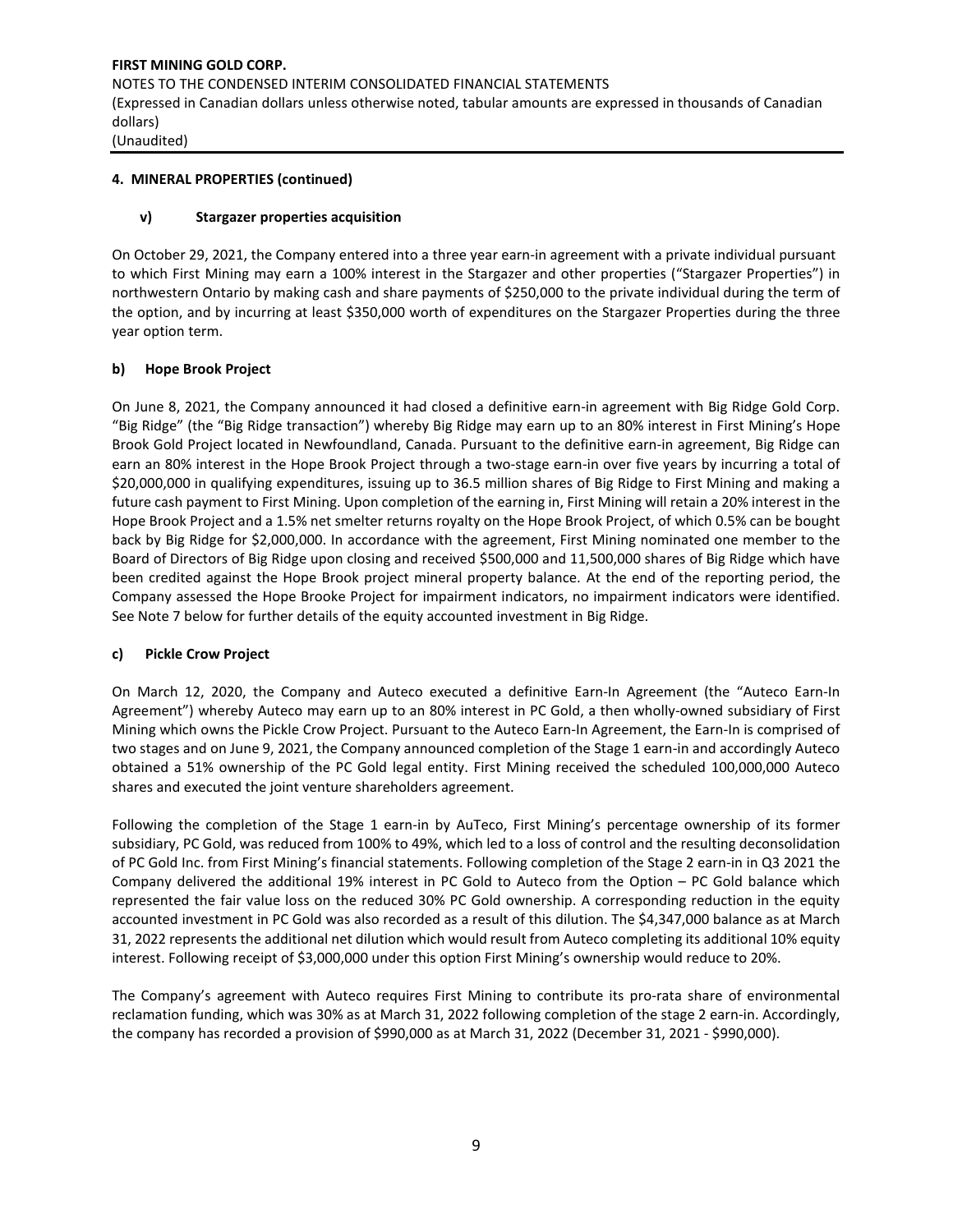#### **4. MINERAL PROPERTIES (continued)**

#### **v) Stargazer properties acquisition**

On October 29, 2021, the Company entered into a three year earn-in agreement with a private individual pursuant to which First Mining may earn a 100% interest in the Stargazer and other properties ("Stargazer Properties") in northwestern Ontario by making cash and share payments of \$250,000 to the private individual during the term of the option, and by incurring at least \$350,000 worth of expenditures on the Stargazer Properties during the three year option term.

#### **b) Hope Brook Project**

On June 8, 2021, the Company announced it had closed a definitive earn-in agreement with Big Ridge Gold Corp. "Big Ridge" (the "Big Ridge transaction") whereby Big Ridge may earn up to an 80% interest in First Mining's Hope Brook Gold Project located in Newfoundland, Canada. Pursuant to the definitive earn-in agreement, Big Ridge can earn an 80% interest in the Hope Brook Project through a two-stage earn-in over five years by incurring a total of \$20,000,000 in qualifying expenditures, issuing up to 36.5 million shares of Big Ridge to First Mining and making a future cash payment to First Mining. Upon completion of the earning in, First Mining will retain a 20% interest in the Hope Brook Project and a 1.5% net smelter returns royalty on the Hope Brook Project, of which 0.5% can be bought back by Big Ridge for \$2,000,000. In accordance with the agreement, First Mining nominated one member to the Board of Directors of Big Ridge upon closing and received \$500,000 and 11,500,000 shares of Big Ridge which have been credited against the Hope Brook project mineral property balance. At the end of the reporting period, the Company assessed the Hope Brooke Project for impairment indicators, no impairment indicators were identified. See Note 7 below for further details of the equity accounted investment in Big Ridge.

#### **c) Pickle Crow Project**

On March 12, 2020, the Company and Auteco executed a definitive Earn-In Agreement (the "Auteco Earn-In Agreement") whereby Auteco may earn up to an 80% interest in PC Gold, a then wholly-owned subsidiary of First Mining which owns the Pickle Crow Project. Pursuant to the Auteco Earn-In Agreement, the Earn-In is comprised of two stages and on June 9, 2021, the Company announced completion of the Stage 1 earn-in and accordingly Auteco obtained a 51% ownership of the PC Gold legal entity. First Mining received the scheduled 100,000,000 Auteco shares and executed the joint venture shareholders agreement.

Following the completion of the Stage 1 earn-in by AuTeco, First Mining's percentage ownership of its former subsidiary, PC Gold, was reduced from 100% to 49%, which led to a loss of control and the resulting deconsolidation of PC Gold Inc. from First Mining's financial statements. Following completion of the Stage 2 earn-in in Q3 2021 the Company delivered the additional 19% interest in PC Gold to Auteco from the Option – PC Gold balance which represented the fair value loss on the reduced 30% PC Gold ownership. A corresponding reduction in the equity accounted investment in PC Gold was also recorded as a result of this dilution. The \$4,347,000 balance as at March 31, 2022 represents the additional net dilution which would result from Auteco completing its additional 10% equity interest. Following receipt of \$3,000,000 under this option First Mining's ownership would reduce to 20%.

The Company's agreement with Auteco requires First Mining to contribute its pro-rata share of environmental reclamation funding, which was 30% as at March 31, 2022 following completion of the stage 2 earn-in. Accordingly, the company has recorded a provision of \$990,000 as at March 31, 2022 (December 31, 2021 - \$990,000).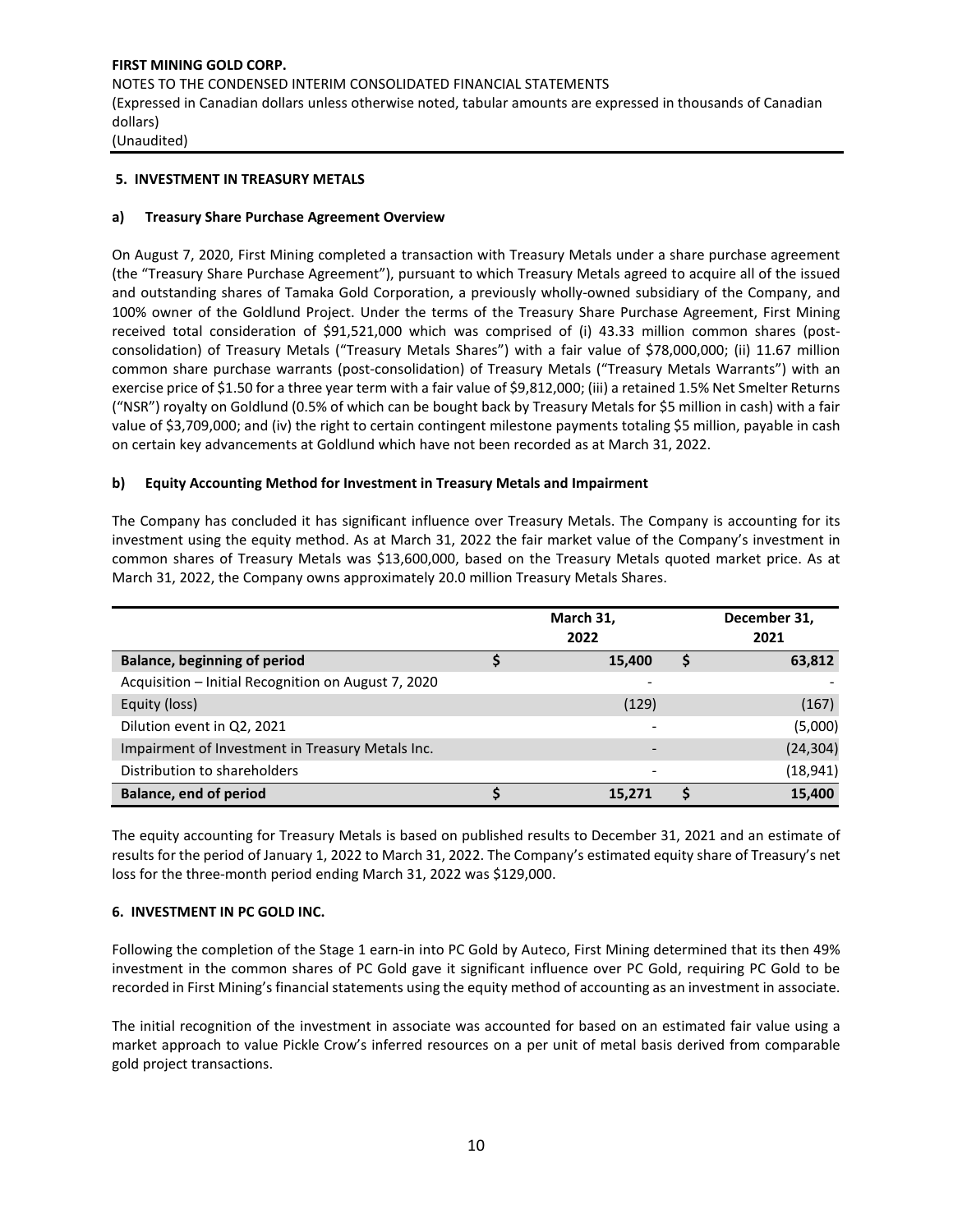# **5. INVESTMENT IN TREASURY METALS**

# **a) Treasury Share Purchase Agreement Overview**

On August 7, 2020, First Mining completed a transaction with Treasury Metals under a share purchase agreement (the "Treasury Share Purchase Agreement"), pursuant to which Treasury Metals agreed to acquire all of the issued and outstanding shares of Tamaka Gold Corporation, a previously wholly-owned subsidiary of the Company, and 100% owner of the Goldlund Project. Under the terms of the Treasury Share Purchase Agreement, First Mining received total consideration of \$91,521,000 which was comprised of (i) 43.33 million common shares (postconsolidation) of Treasury Metals ("Treasury Metals Shares") with a fair value of \$78,000,000; (ii) 11.67 million common share purchase warrants (post-consolidation) of Treasury Metals ("Treasury Metals Warrants") with an exercise price of \$1.50 for a three year term with a fair value of \$9,812,000; (iii) a retained 1.5% Net Smelter Returns ("NSR") royalty on Goldlund (0.5% of which can be bought back by Treasury Metals for \$5 million in cash) with a fair value of \$3,709,000; and (iv) the right to certain contingent milestone payments totaling \$5 million, payable in cash on certain key advancements at Goldlund which have not been recorded as at March 31, 2022.

# **b) Equity Accounting Method for Investment in Treasury Metals and Impairment**

The Company has concluded it has significant influence over Treasury Metals. The Company is accounting for its investment using the equity method. As at March 31, 2022 the fair market value of the Company's investment in common shares of Treasury Metals was \$13,600,000, based on the Treasury Metals quoted market price. As at March 31, 2022, the Company owns approximately 20.0 million Treasury Metals Shares.

|                                                     | March 31,<br>2022 | December 31,<br>2021 |
|-----------------------------------------------------|-------------------|----------------------|
| <b>Balance, beginning of period</b>                 | 15.400            | 63,812               |
| Acquisition - Initial Recognition on August 7, 2020 |                   |                      |
| Equity (loss)                                       | (129)             | (167)                |
| Dilution event in Q2, 2021                          | ۰                 | (5,000)              |
| Impairment of Investment in Treasury Metals Inc.    | ٠                 | (24, 304)            |
| Distribution to shareholders                        | ٠                 | (18, 941)            |
| <b>Balance, end of period</b>                       | 15.271            | 15,400               |

The equity accounting for Treasury Metals is based on published results to December 31, 2021 and an estimate of results for the period of January 1, 2022 to March 31, 2022. The Company's estimated equity share of Treasury's net loss for the three-month period ending March 31, 2022 was \$129,000.

# **6. INVESTMENT IN PC GOLD INC.**

Following the completion of the Stage 1 earn-in into PC Gold by Auteco, First Mining determined that its then 49% investment in the common shares of PC Gold gave it significant influence over PC Gold, requiring PC Gold to be recorded in First Mining's financial statements using the equity method of accounting as an investment in associate.

The initial recognition of the investment in associate was accounted for based on an estimated fair value using a market approach to value Pickle Crow's inferred resources on a per unit of metal basis derived from comparable gold project transactions.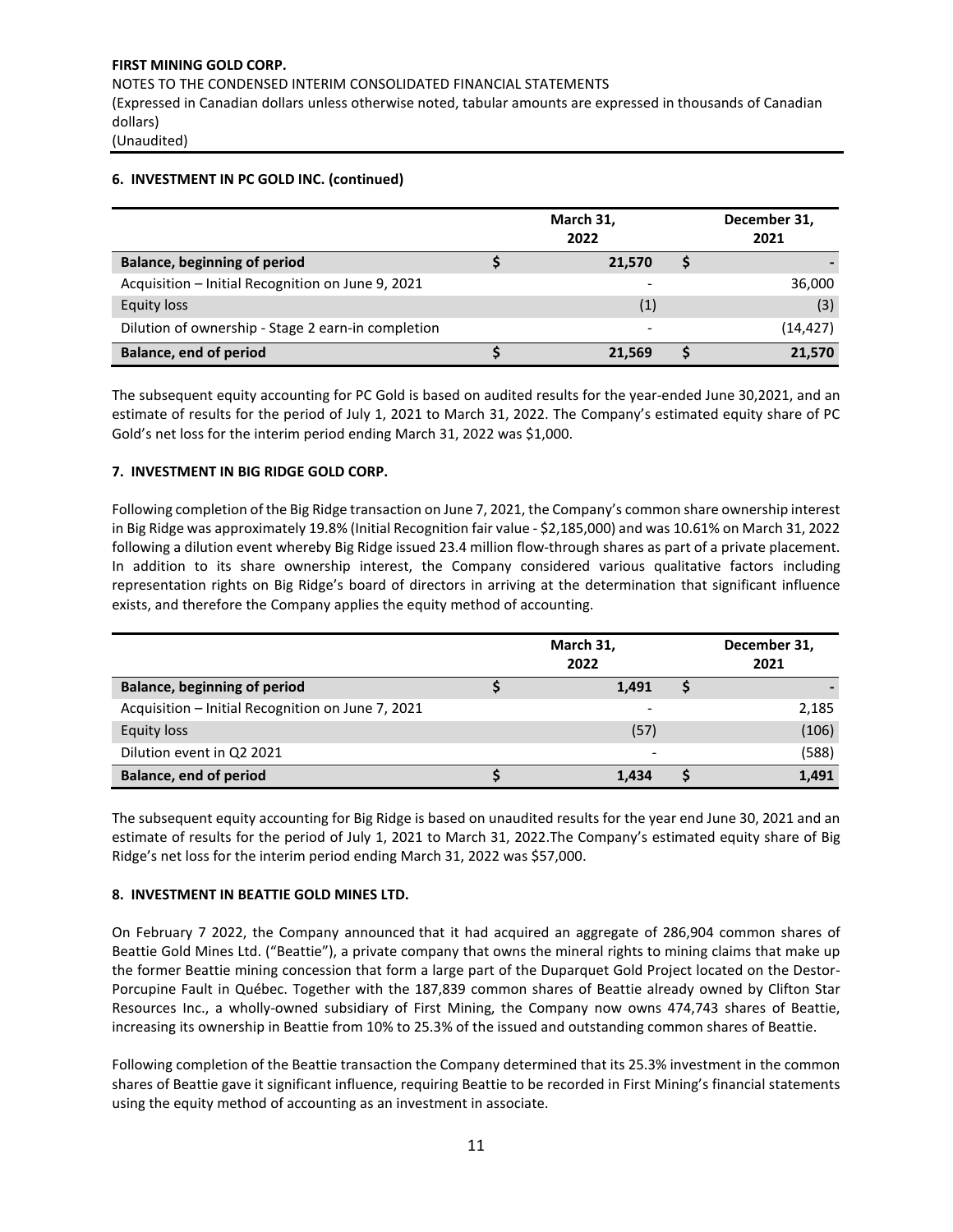#### **6. INVESTMENT IN PC GOLD INC. (continued)**

|                                                    | March 31,<br>2022 | December 31,<br>2021 |           |
|----------------------------------------------------|-------------------|----------------------|-----------|
| <b>Balance, beginning of period</b>                | 21,570            |                      |           |
| Acquisition - Initial Recognition on June 9, 2021  |                   |                      | 36,000    |
| Equity loss                                        | (1)               |                      | (3)       |
| Dilution of ownership - Stage 2 earn-in completion | -                 |                      | (14, 427) |
| <b>Balance, end of period</b>                      | 21.569            |                      | 21,570    |

The subsequent equity accounting for PC Gold is based on audited results for the year-ended June 30,2021, and an estimate of results for the period of July 1, 2021 to March 31, 2022. The Company's estimated equity share of PC Gold's net loss for the interim period ending March 31, 2022 was \$1,000.

# **7. INVESTMENT IN BIG RIDGE GOLD CORP.**

Following completion of the Big Ridge transaction on June 7, 2021, the Company's common share ownership interest in Big Ridge was approximately 19.8% (Initial Recognition fair value - \$2,185,000) and was 10.61% on March 31, 2022 following a dilution event whereby Big Ridge issued 23.4 million flow-through shares as part of a private placement. In addition to its share ownership interest, the Company considered various qualitative factors including representation rights on Big Ridge's board of directors in arriving at the determination that significant influence exists, and therefore the Company applies the equity method of accounting.

|                                                   |  | December 31,<br>2021     |  |       |
|---------------------------------------------------|--|--------------------------|--|-------|
| <b>Balance, beginning of period</b>               |  | 1,491                    |  |       |
| Acquisition - Initial Recognition on June 7, 2021 |  |                          |  | 2,185 |
| <b>Equity loss</b>                                |  | (57)                     |  | (106) |
| Dilution event in Q2 2021                         |  | $\overline{\phantom{0}}$ |  | (588) |
| Balance, end of period                            |  | 1.434                    |  | 1,491 |

The subsequent equity accounting for Big Ridge is based on unaudited results for the year end June 30, 2021 and an estimate of results for the period of July 1, 2021 to March 31, 2022.The Company's estimated equity share of Big Ridge's net loss for the interim period ending March 31, 2022 was \$57,000.

# **8. INVESTMENT IN BEATTIE GOLD MINES LTD.**

On February 7 2022, the Company announced that it had acquired an aggregate of 286,904 common shares of Beattie Gold Mines Ltd. ("Beattie"), a private company that owns the mineral rights to mining claims that make up the former Beattie mining concession that form a large part of the Duparquet Gold Project located on the Destor-Porcupine Fault in Québec. Together with the 187,839 common shares of Beattie already owned by Clifton Star Resources Inc., a wholly-owned subsidiary of First Mining, the Company now owns 474,743 shares of Beattie, increasing its ownership in Beattie from 10% to 25.3% of the issued and outstanding common shares of Beattie.

Following completion of the Beattie transaction the Company determined that its 25.3% investment in the common shares of Beattie gave it significant influence, requiring Beattie to be recorded in First Mining's financial statements using the equity method of accounting as an investment in associate.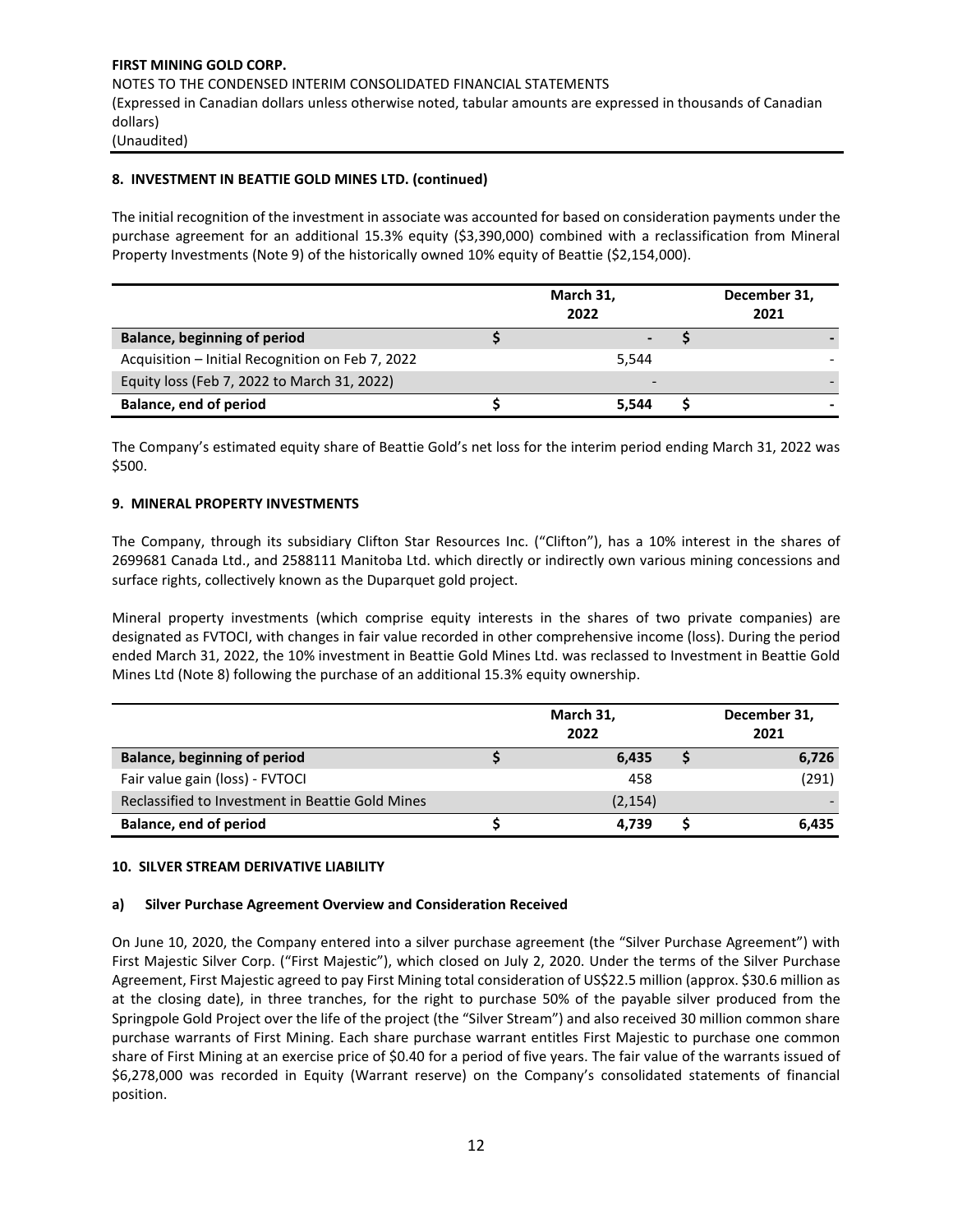# **8. INVESTMENT IN BEATTIE GOLD MINES LTD. (continued)**

The initial recognition of the investment in associate was accounted for based on consideration payments under the purchase agreement for an additional 15.3% equity (\$3,390,000) combined with a reclassification from Mineral Property Investments (Note 9) of the historically owned 10% equity of Beattie (\$2,154,000).

|                                                  | March 31,<br>2022 | December 31,<br>2021 |
|--------------------------------------------------|-------------------|----------------------|
| <b>Balance, beginning of period</b>              |                   |                      |
| Acquisition - Initial Recognition on Feb 7, 2022 | 5.544             |                      |
| Equity loss (Feb 7, 2022 to March 31, 2022)      | -                 |                      |
| Balance, end of period                           | 5.544             |                      |

The Company's estimated equity share of Beattie Gold's net loss for the interim period ending March 31, 2022 was \$500.

#### **9. MINERAL PROPERTY INVESTMENTS**

The Company, through its subsidiary Clifton Star Resources Inc. ("Clifton"), has a 10% interest in the shares of 2699681 Canada Ltd., and 2588111 Manitoba Ltd. which directly or indirectly own various mining concessions and surface rights, collectively known as the Duparquet gold project.

Mineral property investments (which comprise equity interests in the shares of two private companies) are designated as FVTOCI, with changes in fair value recorded in other comprehensive income (loss). During the period ended March 31, 2022, the 10% investment in Beattie Gold Mines Ltd. was reclassed to Investment in Beattie Gold Mines Ltd (Note 8) following the purchase of an additional 15.3% equity ownership.

|                                                  | March 31,<br>2022 | December 31,<br>2021 |       |  |
|--------------------------------------------------|-------------------|----------------------|-------|--|
| <b>Balance, beginning of period</b>              | 6.435             |                      | 6,726 |  |
| Fair value gain (loss) - FVTOCI                  | 458               |                      | (291) |  |
| Reclassified to Investment in Beattie Gold Mines | (2, 154)          |                      |       |  |
| Balance, end of period                           | 4.739             |                      | 6.435 |  |

#### **10. SILVER STREAM DERIVATIVE LIABILITY**

#### **a) Silver Purchase Agreement Overview and Consideration Received**

On June 10, 2020, the Company entered into a silver purchase agreement (the "Silver Purchase Agreement") with First Majestic Silver Corp. ("First Majestic"), which closed on July 2, 2020. Under the terms of the Silver Purchase Agreement, First Majestic agreed to pay First Mining total consideration of US\$22.5 million (approx. \$30.6 million as at the closing date), in three tranches, for the right to purchase 50% of the payable silver produced from the Springpole Gold Project over the life of the project (the "Silver Stream") and also received 30 million common share purchase warrants of First Mining. Each share purchase warrant entitles First Majestic to purchase one common share of First Mining at an exercise price of \$0.40 for a period of five years. The fair value of the warrants issued of \$6,278,000 was recorded in Equity (Warrant reserve) on the Company's consolidated statements of financial position.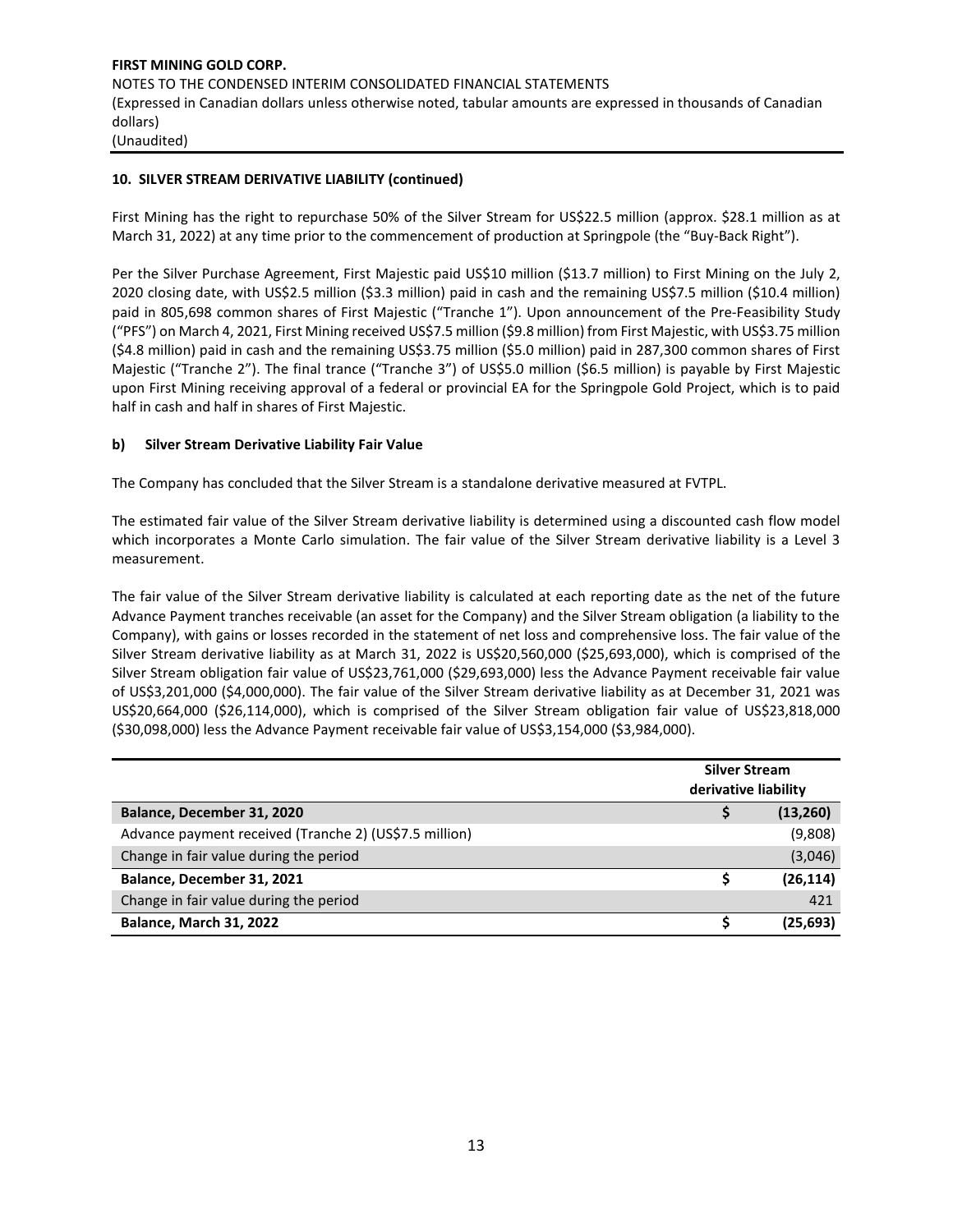#### **10. SILVER STREAM DERIVATIVE LIABILITY (continued)**

First Mining has the right to repurchase 50% of the Silver Stream for US\$22.5 million (approx. \$28.1 million as at March 31, 2022) at any time prior to the commencement of production at Springpole (the "Buy-Back Right").

Per the Silver Purchase Agreement, First Majestic paid US\$10 million (\$13.7 million) to First Mining on the July 2, 2020 closing date, with US\$2.5 million (\$3.3 million) paid in cash and the remaining US\$7.5 million (\$10.4 million) paid in 805,698 common shares of First Majestic ("Tranche 1"). Upon announcement of the Pre-Feasibility Study ("PFS") on March 4, 2021, First Mining received US\$7.5 million (\$9.8 million) from First Majestic, with US\$3.75 million (\$4.8 million) paid in cash and the remaining US\$3.75 million (\$5.0 million) paid in 287,300 common shares of First Majestic ("Tranche 2"). The final trance ("Tranche 3") of US\$5.0 million (\$6.5 million) is payable by First Majestic upon First Mining receiving approval of a federal or provincial EA for the Springpole Gold Project, which is to paid half in cash and half in shares of First Majestic.

#### **b) Silver Stream Derivative Liability Fair Value**

The Company has concluded that the Silver Stream is a standalone derivative measured at FVTPL.

The estimated fair value of the Silver Stream derivative liability is determined using a discounted cash flow model which incorporates a Monte Carlo simulation. The fair value of the Silver Stream derivative liability is a Level 3 measurement.

The fair value of the Silver Stream derivative liability is calculated at each reporting date as the net of the future Advance Payment tranches receivable (an asset for the Company) and the Silver Stream obligation (a liability to the Company), with gains or losses recorded in the statement of net loss and comprehensive loss. The fair value of the Silver Stream derivative liability as at March 31, 2022 is US\$20,560,000 (\$25,693,000), which is comprised of the Silver Stream obligation fair value of US\$23,761,000 (\$29,693,000) less the Advance Payment receivable fair value of US\$3,201,000 (\$4,000,000). The fair value of the Silver Stream derivative liability as at December 31, 2021 was US\$20,664,000 (\$26,114,000), which is comprised of the Silver Stream obligation fair value of US\$23,818,000 (\$30,098,000) less the Advance Payment receivable fair value of US\$3,154,000 (\$3,984,000).

|                                                        | <b>Silver Stream</b><br>derivative liability |           |  |  |
|--------------------------------------------------------|----------------------------------------------|-----------|--|--|
| Balance, December 31, 2020                             |                                              | (13, 260) |  |  |
| Advance payment received (Tranche 2) (US\$7.5 million) |                                              | (9,808)   |  |  |
| Change in fair value during the period                 |                                              | (3,046)   |  |  |
| Balance, December 31, 2021                             |                                              | (26, 114) |  |  |
| Change in fair value during the period                 |                                              | 421       |  |  |
| Balance, March 31, 2022                                |                                              | (25, 693) |  |  |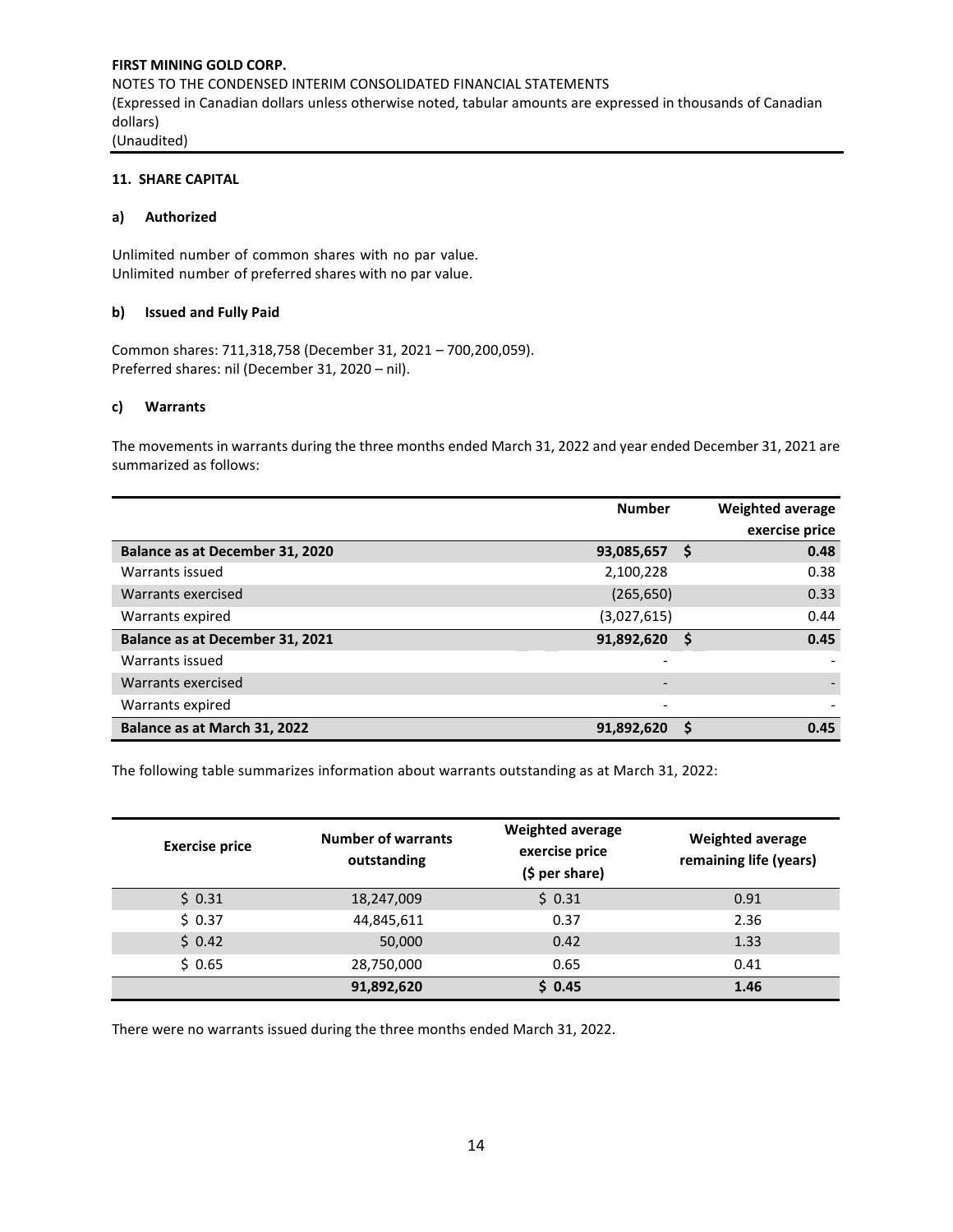# **11. SHARE CAPITAL**

#### **a) Authorized**

Unlimited number of common shares with no par value. Unlimited number of preferred shares with no par value.

#### **b) Issued and Fully Paid**

Common shares: 711,318,758 (December 31, 2021 – 700,200,059). Preferred shares: nil (December 31, 2020 – nil).

#### **c) Warrants**

The movements in warrants during the three months ended March 31, 2022 and year ended December 31, 2021 are summarized as follows:

|                                 | <b>Number</b>            |   | <b>Weighted average</b> |
|---------------------------------|--------------------------|---|-------------------------|
|                                 |                          |   | exercise price          |
| Balance as at December 31, 2020 | 93,085,657               | S | 0.48                    |
| Warrants issued                 | 2,100,228                |   | 0.38                    |
| Warrants exercised              | (265, 650)               |   | 0.33                    |
| Warrants expired                | (3,027,615)              |   | 0.44                    |
| Balance as at December 31, 2021 | 91,892,620               | S | 0.45                    |
| Warrants issued                 | $\overline{\phantom{a}}$ |   |                         |
| Warrants exercised              |                          |   |                         |
| Warrants expired                | $\overline{\phantom{0}}$ |   |                         |
| Balance as at March 31, 2022    | 91,892,620               | S | 0.45                    |

The following table summarizes information about warrants outstanding as at March 31, 2022:

| <b>Exercise price</b> | <b>Number of warrants</b><br>outstanding | <b>Weighted average</b><br>exercise price<br>$(5 per share)$ | <b>Weighted average</b><br>remaining life (years) |  |  |
|-----------------------|------------------------------------------|--------------------------------------------------------------|---------------------------------------------------|--|--|
| \$0.31                | 18,247,009                               | \$0.31                                                       | 0.91                                              |  |  |
| \$0.37                | 44,845,611                               | 0.37                                                         | 2.36                                              |  |  |
| 50.42                 | 50,000                                   | 0.42                                                         | 1.33                                              |  |  |
| \$0.65                | 28,750,000                               | 0.65                                                         | 0.41                                              |  |  |
|                       | 91,892,620                               | \$0.45                                                       | 1.46                                              |  |  |

There were no warrants issued during the three months ended March 31, 2022.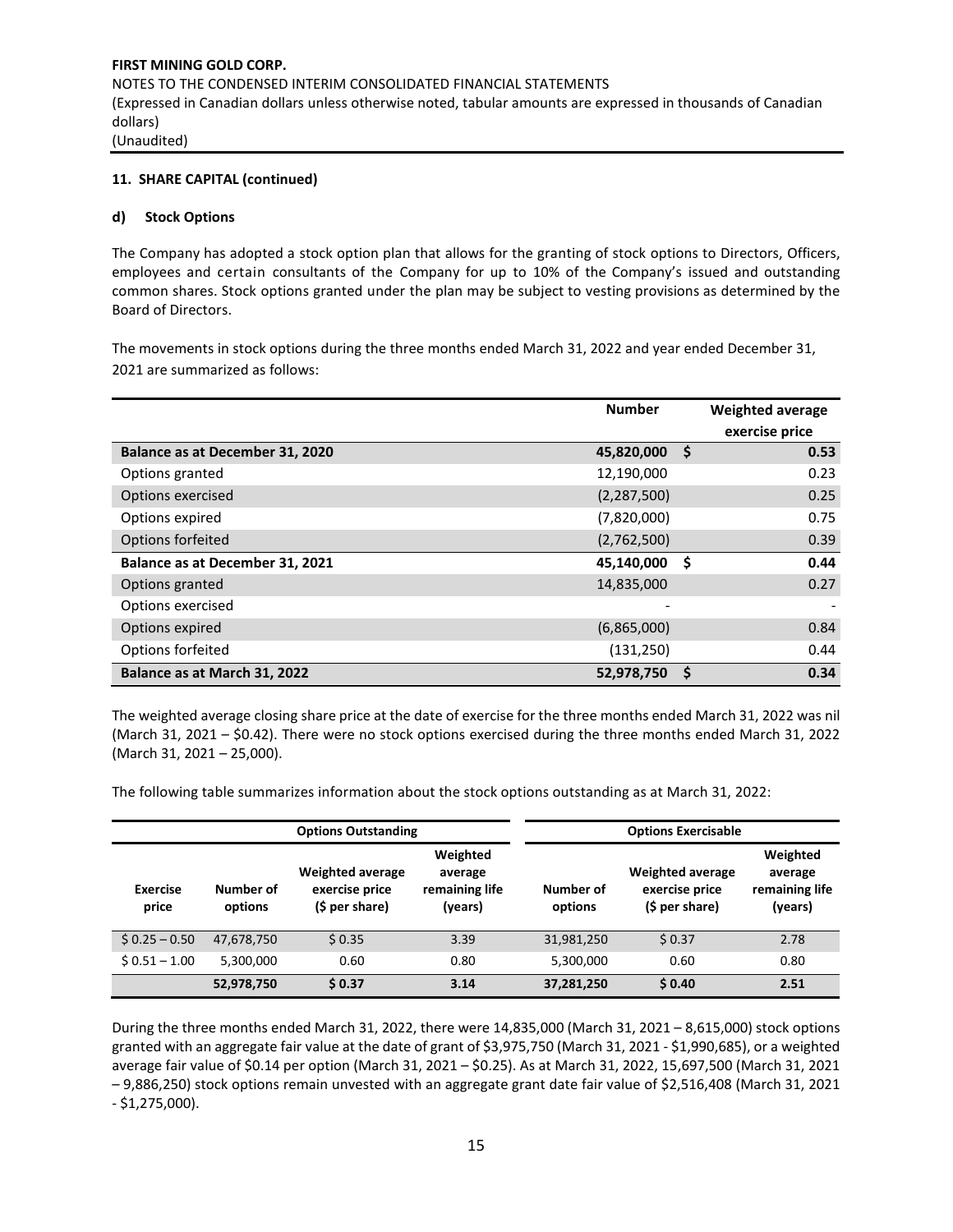#### **11. SHARE CAPITAL (continued)**

#### **d) Stock Options**

The Company has adopted a stock option plan that allows for the granting of stock options to Directors, Officers, employees and certain consultants of the Company for up to 10% of the Company's issued and outstanding common shares. Stock options granted under the plan may be subject to vesting provisions as determined by the Board of Directors.

The movements in stock options during the three months ended March 31, 2022 and year ended December 31, 2021 are summarized as follows:

|                                 | <b>Number</b> |          | <b>Weighted average</b> |
|---------------------------------|---------------|----------|-------------------------|
|                                 |               |          | exercise price          |
| Balance as at December 31, 2020 | 45,820,000    | <b>S</b> | 0.53                    |
| Options granted                 | 12,190,000    |          | 0.23                    |
| Options exercised               | (2, 287, 500) |          | 0.25                    |
| Options expired                 | (7,820,000)   |          | 0.75                    |
| Options forfeited               | (2,762,500)   |          | 0.39                    |
| Balance as at December 31, 2021 | 45,140,000    | S        | 0.44                    |
| Options granted                 | 14,835,000    |          | 0.27                    |
| Options exercised               |               |          |                         |
| Options expired                 | (6,865,000)   |          | 0.84                    |
| Options forfeited               | (131, 250)    |          | 0.44                    |
| Balance as at March 31, 2022    | 52,978,750    | S        | 0.34                    |

The weighted average closing share price at the date of exercise for the three months ended March 31, 2022 was nil (March 31, 2021 – \$0.42). There were no stock options exercised during the three months ended March 31, 2022 (March 31, 2021 – 25,000).

The following table summarizes information about the stock options outstanding as at March 31, 2022:

|                   |                      | <b>Options Outstanding</b>                                  |                                                  | <b>Options Exercisable</b> |                                                             |                                                  |  |  |
|-------------------|----------------------|-------------------------------------------------------------|--------------------------------------------------|----------------------------|-------------------------------------------------------------|--------------------------------------------------|--|--|
| Exercise<br>price | Number of<br>options | <b>Weighted average</b><br>exercise price<br>(\$ per share) | Weighted<br>average<br>remaining life<br>(years) | Number of<br>options       | <b>Weighted average</b><br>exercise price<br>(\$ per share) | Weighted<br>average<br>remaining life<br>(years) |  |  |
| $$0.25 - 0.50$    | 47,678,750           | \$0.35                                                      | 3.39                                             | 31,981,250                 | \$0.37                                                      | 2.78                                             |  |  |
| $$0.51 - 1.00$    | 5,300,000            | 0.60                                                        | 0.80                                             | 5,300,000                  | 0.60                                                        | 0.80                                             |  |  |
|                   | 52,978,750           | \$0.37                                                      | 3.14                                             | 37,281,250                 | \$0.40                                                      | 2.51                                             |  |  |

During the three months ended March 31, 2022, there were 14,835,000 (March 31, 2021 – 8,615,000) stock options granted with an aggregate fair value at the date of grant of \$3,975,750 (March 31, 2021 - \$1,990,685), or a weighted average fair value of \$0.14 per option (March 31, 2021 – \$0.25). As at March 31, 2022, 15,697,500 (March 31, 2021 – 9,886,250) stock options remain unvested with an aggregate grant date fair value of \$2,516,408 (March 31, 2021 - \$1,275,000).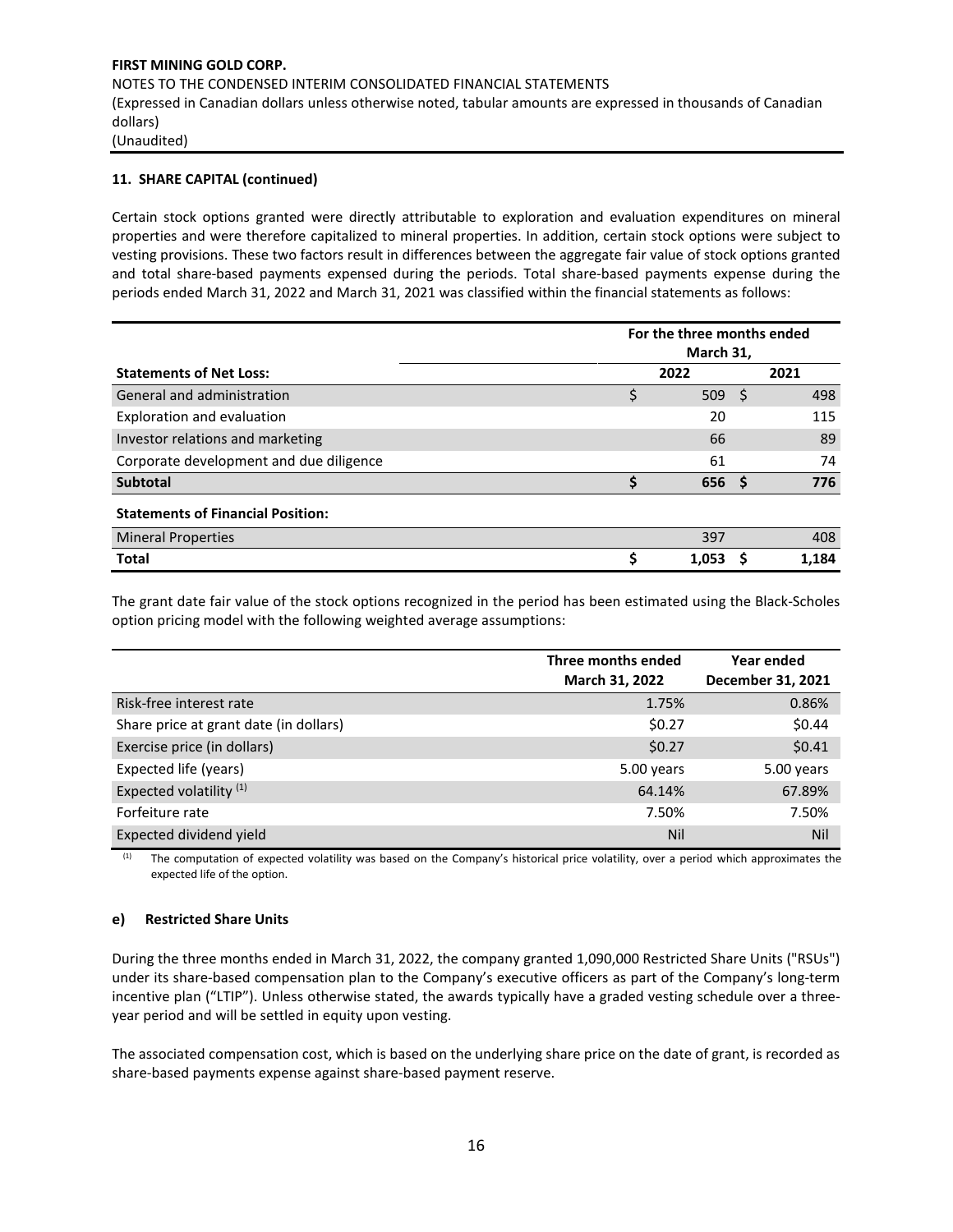# **11. SHARE CAPITAL (continued)**

Certain stock options granted were directly attributable to exploration and evaluation expenditures on mineral properties and were therefore capitalized to mineral properties. In addition, certain stock options were subject to vesting provisions. These two factors result in differences between the aggregate fair value of stock options granted and total share-based payments expensed during the periods. Total share-based payments expense during the periods ended March 31, 2022 and March 31, 2021 was classified within the financial statements as follows:

|                                          | For the three months ended<br>March 31, |                  |    |       |  |  |  |
|------------------------------------------|-----------------------------------------|------------------|----|-------|--|--|--|
| <b>Statements of Net Loss:</b>           |                                         | 2022             |    | 2021  |  |  |  |
| General and administration               | Ś                                       | 509              | -S | 498   |  |  |  |
| Exploration and evaluation               |                                         | 20               |    | 115   |  |  |  |
| Investor relations and marketing         |                                         | 66               |    | 89    |  |  |  |
| Corporate development and due diligence  |                                         | 61               |    | 74    |  |  |  |
| <b>Subtotal</b>                          |                                         | 656 <sup>5</sup> |    | 776   |  |  |  |
| <b>Statements of Financial Position:</b> |                                         |                  |    |       |  |  |  |
| <b>Mineral Properties</b>                |                                         | 397              |    | 408   |  |  |  |
| <b>Total</b>                             |                                         | 1.053            |    | 1.184 |  |  |  |

The grant date fair value of the stock options recognized in the period has been estimated using the Black-Scholes option pricing model with the following weighted average assumptions:

|                                        | Three months ended | Year ended        |  |  |
|----------------------------------------|--------------------|-------------------|--|--|
|                                        | March 31, 2022     | December 31, 2021 |  |  |
| Risk-free interest rate                | 1.75%              | 0.86%             |  |  |
| Share price at grant date (in dollars) | \$0.27             | \$0.44            |  |  |
| Exercise price (in dollars)            | \$0.27             | \$0.41            |  |  |
| Expected life (years)                  | 5.00 years         | 5.00 years        |  |  |
| Expected volatility <sup>(1)</sup>     | 64.14%             | 67.89%            |  |  |
| Forfeiture rate                        | 7.50%              | 7.50%             |  |  |
| Expected dividend yield                | Nil                | Nil               |  |  |

(1) The computation of expected volatility was based on the Company's historical price volatility, over a period which approximates the expected life of the option.

# **e) Restricted Share Units**

During the three months ended in March 31, 2022, the company granted 1,090,000 Restricted Share Units ("RSUs") under its share-based compensation plan to the Company's executive officers as part of the Company's long-term incentive plan ("LTIP"). Unless otherwise stated, the awards typically have a graded vesting schedule over a threeyear period and will be settled in equity upon vesting.

The associated compensation cost, which is based on the underlying share price on the date of grant, is recorded as share-based payments expense against share-based payment reserve.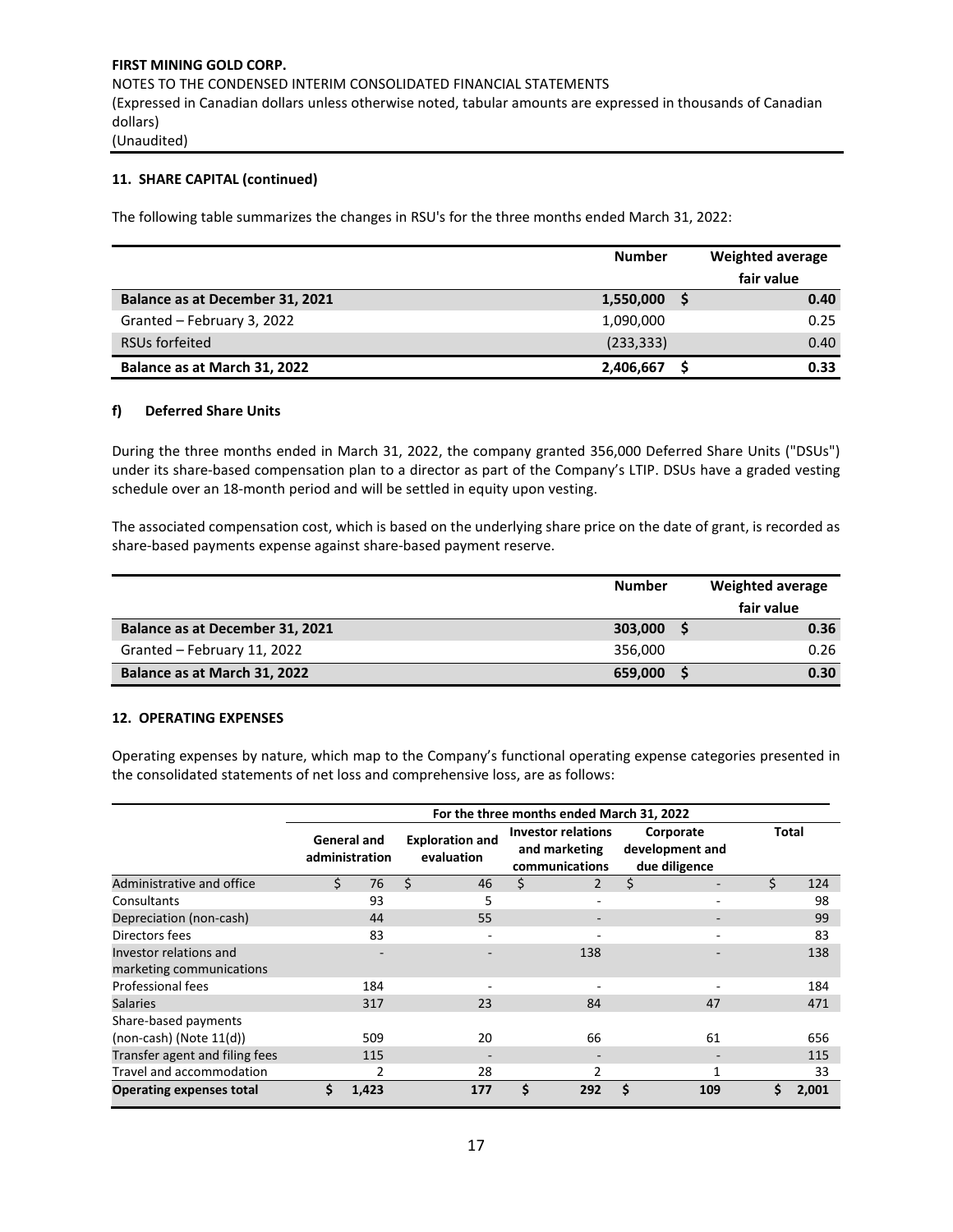# **11. SHARE CAPITAL (continued)**

The following table summarizes the changes in RSU's for the three months ended March 31, 2022:

|                                 | <b>Number</b> | Weighted average |            |  |
|---------------------------------|---------------|------------------|------------|--|
|                                 |               |                  | fair value |  |
| Balance as at December 31, 2021 | 1,550,000     |                  | 0.40       |  |
| Granted - February 3, 2022      | 1,090,000     |                  | 0.25       |  |
| RSUs forfeited                  | (233, 333)    |                  | 0.40       |  |
| Balance as at March 31, 2022    | 2,406,667     |                  | 0.33       |  |

#### **f) Deferred Share Units**

During the three months ended in March 31, 2022, the company granted 356,000 Deferred Share Units ("DSUs") under its share-based compensation plan to a director as part of the Company's LTIP. DSUs have a graded vesting schedule over an 18-month period and will be settled in equity upon vesting.

The associated compensation cost, which is based on the underlying share price on the date of grant, is recorded as share-based payments expense against share-based payment reserve.

|                                 | <b>Number</b> | Weighted average |  |  |
|---------------------------------|---------------|------------------|--|--|
|                                 |               | fair value       |  |  |
| Balance as at December 31, 2021 | 303,000       | 0.36             |  |  |
| Granted - February 11, 2022     | 356,000       | 0.26             |  |  |
| Balance as at March 31, 2022    | 659,000       | 0.30             |  |  |

#### **12. OPERATING EXPENSES**

Operating expenses by nature, which map to the Company's functional operating expense categories presented in the consolidated statements of net loss and comprehensive loss, are as follows:

|                                                      | For the three months ended March 31, 2022 |                               |    |                                      |    |                                                              |   |                                               |              |       |
|------------------------------------------------------|-------------------------------------------|-------------------------------|----|--------------------------------------|----|--------------------------------------------------------------|---|-----------------------------------------------|--------------|-------|
|                                                      |                                           | General and<br>administration |    | <b>Exploration and</b><br>evaluation |    | <b>Investor relations</b><br>and marketing<br>communications |   | Corporate<br>development and<br>due diligence | <b>Total</b> |       |
| Administrative and office                            |                                           | 76                            | Ŝ. | 46                                   | \$ | $\overline{2}$                                               | Ś |                                               | \$           | 124   |
| Consultants                                          |                                           | 93                            |    | 5                                    |    | -                                                            |   |                                               |              | 98    |
| Depreciation (non-cash)                              |                                           | 44                            |    | 55                                   |    | ۰                                                            |   |                                               |              | 99    |
| Directors fees                                       |                                           | 83                            |    |                                      |    |                                                              |   |                                               |              | 83    |
| Investor relations and<br>marketing communications   |                                           |                               |    |                                      |    | 138                                                          |   |                                               |              | 138   |
| Professional fees                                    |                                           | 184                           |    |                                      |    |                                                              |   |                                               |              | 184   |
| <b>Salaries</b>                                      |                                           | 317                           |    | 23                                   |    | 84                                                           |   | 47                                            |              | 471   |
| Share-based payments<br>$(non-cash)$ (Note $11(d)$ ) |                                           | 509                           |    | 20                                   |    | 66                                                           |   | 61                                            |              | 656   |
| Transfer agent and filing fees                       |                                           | 115                           |    |                                      |    | $\overline{\phantom{0}}$                                     |   | $\overline{\phantom{a}}$                      |              | 115   |
| Travel and accommodation                             |                                           | 2                             |    | 28                                   |    |                                                              |   |                                               |              | 33    |
| <b>Operating expenses total</b>                      | Ś                                         | 1,423                         |    | 177                                  | Ś  | 292                                                          | S | 109                                           | \$           | 2,001 |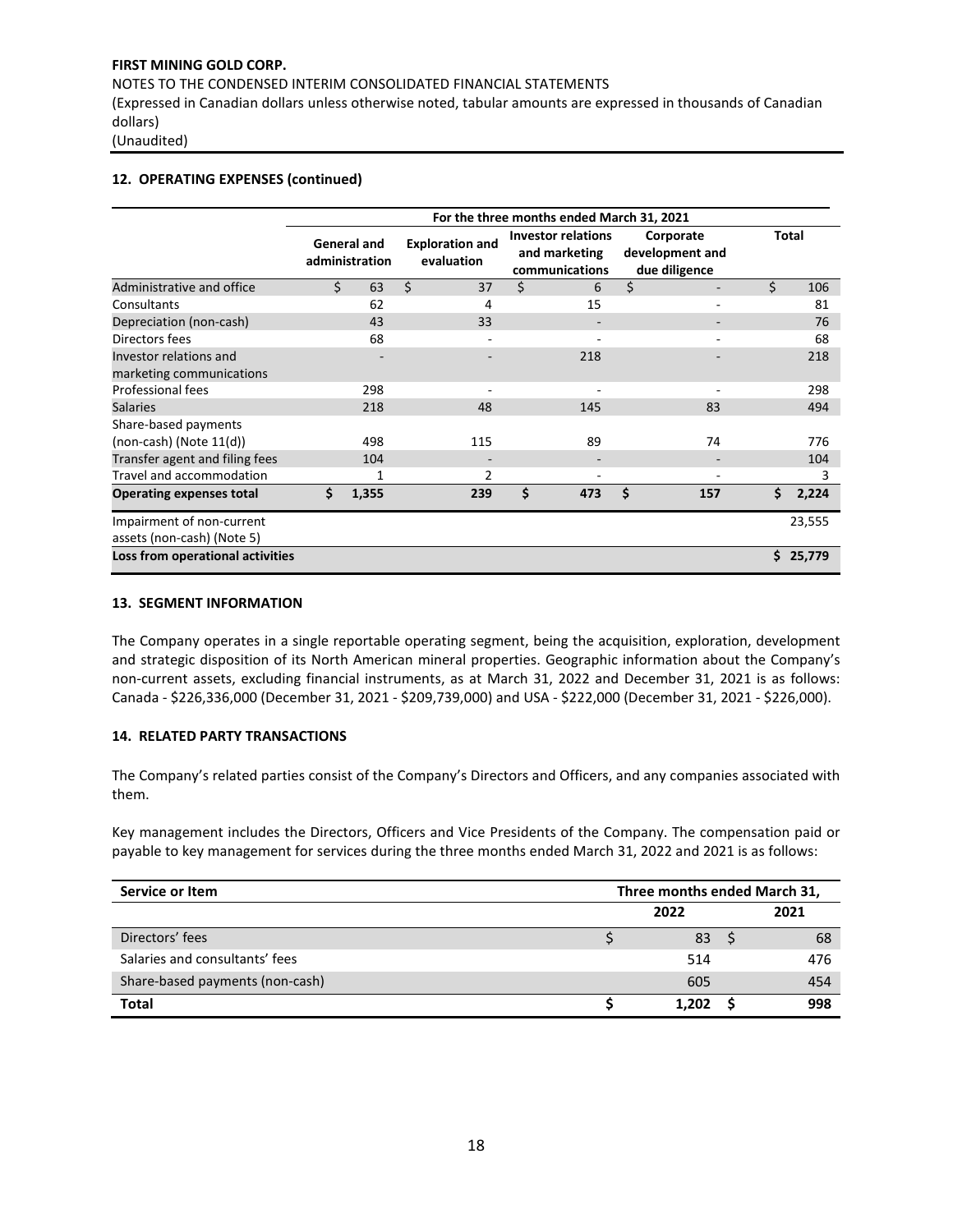NOTES TO THE CONDENSED INTERIM CONSOLIDATED FINANCIAL STATEMENTS

(Expressed in Canadian dollars unless otherwise noted, tabular amounts are expressed in thousands of Canadian dollars)

(Unaudited)

#### **12. OPERATING EXPENSES (continued)**

|                                                         | For the three months ended March 31, 2021 |       |                                      |     |                                                              |     |    |                                               |    |              |
|---------------------------------------------------------|-------------------------------------------|-------|--------------------------------------|-----|--------------------------------------------------------------|-----|----|-----------------------------------------------|----|--------------|
|                                                         | <b>General and</b><br>administration      |       | <b>Exploration and</b><br>evaluation |     | <b>Investor relations</b><br>and marketing<br>communications |     |    | Corporate<br>development and<br>due diligence |    | <b>Total</b> |
| Administrative and office                               | Ś                                         | 63    | Ś.                                   | 37  | \$                                                           | 6   | Ś. |                                               | Ś. | 106          |
| Consultants                                             |                                           | 62    |                                      | 4   |                                                              | 15  |    |                                               |    | 81           |
| Depreciation (non-cash)                                 |                                           | 43    |                                      | 33  |                                                              |     |    |                                               |    | 76           |
| Directors fees                                          |                                           | 68    |                                      |     |                                                              |     |    |                                               |    | 68           |
| Investor relations and                                  |                                           |       |                                      |     |                                                              | 218 |    |                                               |    | 218          |
| marketing communications                                |                                           |       |                                      |     |                                                              |     |    |                                               |    |              |
| Professional fees                                       |                                           | 298   |                                      |     |                                                              |     |    |                                               |    | 298          |
| <b>Salaries</b>                                         |                                           | 218   |                                      | 48  |                                                              | 145 |    | 83                                            |    | 494          |
| Share-based payments                                    |                                           |       |                                      |     |                                                              |     |    |                                               |    |              |
| $(non-cash)$ (Note $11(d)$ )                            |                                           | 498   |                                      | 115 |                                                              | 89  |    | 74                                            |    | 776          |
| Transfer agent and filing fees                          |                                           | 104   |                                      |     |                                                              |     |    |                                               |    | 104          |
| Travel and accommodation                                |                                           | 1     |                                      | 2   |                                                              |     |    |                                               |    | 3            |
| <b>Operating expenses total</b>                         | Ś.                                        | 1,355 |                                      | 239 | \$                                                           | 473 | Ś  | 157                                           | \$ | 2,224        |
| Impairment of non-current<br>assets (non-cash) (Note 5) |                                           |       |                                      |     |                                                              |     |    |                                               |    | 23,555       |
| Loss from operational activities                        |                                           |       |                                      |     |                                                              |     |    |                                               |    | \$25,779     |

#### **13. SEGMENT INFORMATION**

The Company operates in a single reportable operating segment, being the acquisition, exploration, development and strategic disposition of its North American mineral properties. Geographic information about the Company's non-current assets, excluding financial instruments, as at March 31, 2022 and December 31, 2021 is as follows: Canada - \$226,336,000 (December 31, 2021 - \$209,739,000) and USA - \$222,000 (December 31, 2021 - \$226,000).

# **14. RELATED PARTY TRANSACTIONS**

The Company's related parties consist of the Company's Directors and Officers, and any companies associated with them.

Key management includes the Directors, Officers and Vice Presidents of the Company. The compensation paid or payable to key management for services during the three months ended March 31, 2022 and 2021 is as follows:

| Service or Item                 | Three months ended March 31, |       |  |      |  |  |  |
|---------------------------------|------------------------------|-------|--|------|--|--|--|
|                                 |                              | 2022  |  | 2021 |  |  |  |
| Directors' fees                 |                              | 83    |  | 68   |  |  |  |
| Salaries and consultants' fees  |                              | 514   |  | 476  |  |  |  |
| Share-based payments (non-cash) |                              | 605   |  | 454  |  |  |  |
| <b>Total</b>                    |                              | 1.202 |  | 998  |  |  |  |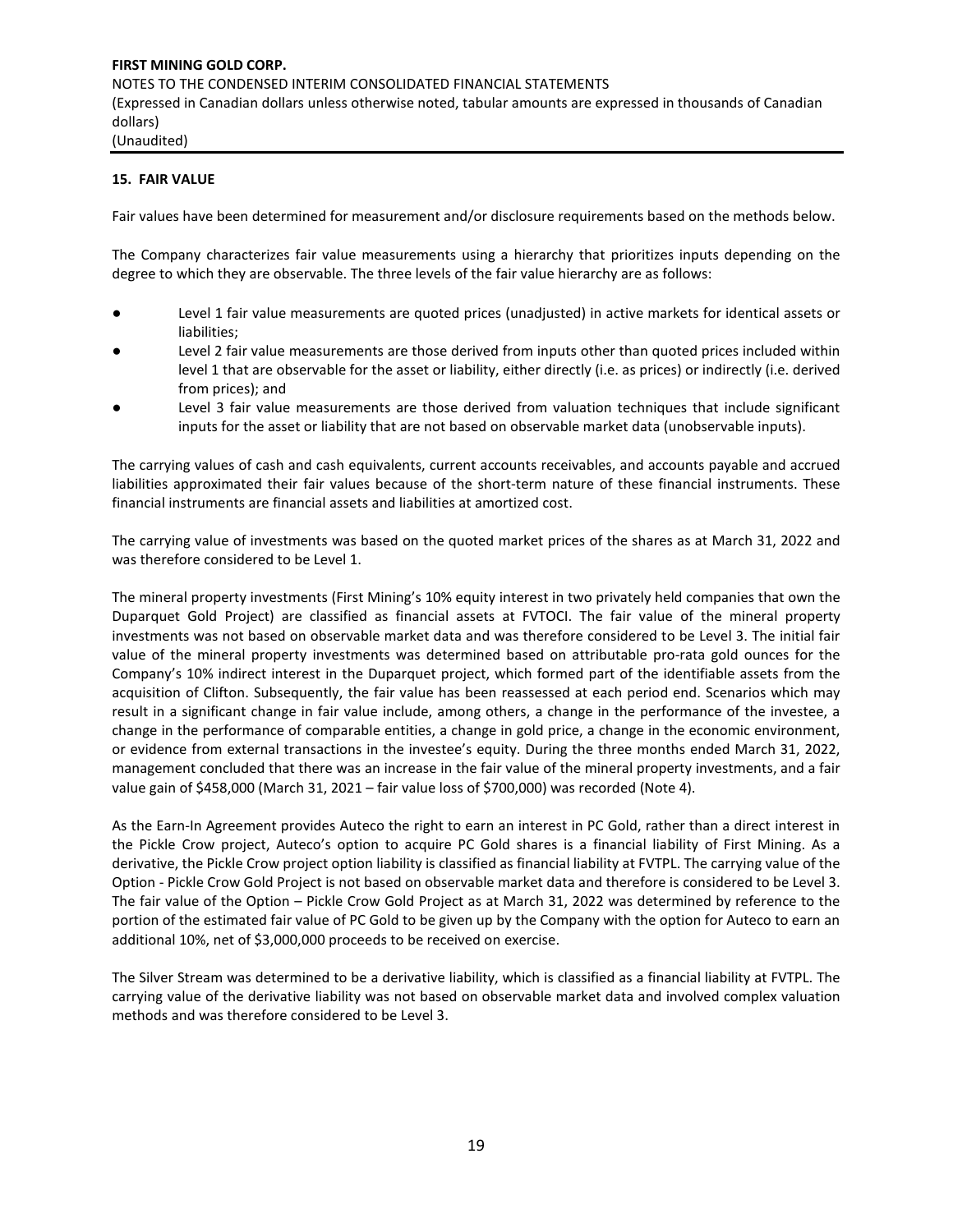#### **15. FAIR VALUE**

Fair values have been determined for measurement and/or disclosure requirements based on the methods below.

The Company characterizes fair value measurements using a hierarchy that prioritizes inputs depending on the degree to which they are observable. The three levels of the fair value hierarchy are as follows:

- Level 1 fair value measurements are quoted prices (unadjusted) in active markets for identical assets or liabilities;
- Level 2 fair value measurements are those derived from inputs other than quoted prices included within level 1 that are observable for the asset or liability, either directly (i.e. as prices) or indirectly (i.e. derived from prices); and
- Level 3 fair value measurements are those derived from valuation techniques that include significant inputs for the asset or liability that are not based on observable market data (unobservable inputs).

The carrying values of cash and cash equivalents, current accounts receivables, and accounts payable and accrued liabilities approximated their fair values because of the short-term nature of these financial instruments. These financial instruments are financial assets and liabilities at amortized cost.

The carrying value of investments was based on the quoted market prices of the shares as at March 31, 2022 and was therefore considered to be Level 1.

The mineral property investments (First Mining's 10% equity interest in two privately held companies that own the Duparquet Gold Project) are classified as financial assets at FVTOCI. The fair value of the mineral property investments was not based on observable market data and was therefore considered to be Level 3. The initial fair value of the mineral property investments was determined based on attributable pro-rata gold ounces for the Company's 10% indirect interest in the Duparquet project, which formed part of the identifiable assets from the acquisition of Clifton. Subsequently, the fair value has been reassessed at each period end. Scenarios which may result in a significant change in fair value include, among others, a change in the performance of the investee, a change in the performance of comparable entities, a change in gold price, a change in the economic environment, or evidence from external transactions in the investee's equity. During the three months ended March 31, 2022, management concluded that there was an increase in the fair value of the mineral property investments, and a fair value gain of \$458,000 (March 31, 2021 – fair value loss of \$700,000) was recorded (Note 4).

As the Earn-In Agreement provides Auteco the right to earn an interest in PC Gold, rather than a direct interest in the Pickle Crow project, Auteco's option to acquire PC Gold shares is a financial liability of First Mining. As a derivative, the Pickle Crow project option liability is classified as financial liability at FVTPL. The carrying value of the Option - Pickle Crow Gold Project is not based on observable market data and therefore is considered to be Level 3. The fair value of the Option – Pickle Crow Gold Project as at March 31, 2022 was determined by reference to the portion of the estimated fair value of PC Gold to be given up by the Company with the option for Auteco to earn an additional 10%, net of \$3,000,000 proceeds to be received on exercise.

The Silver Stream was determined to be a derivative liability, which is classified as a financial liability at FVTPL. The carrying value of the derivative liability was not based on observable market data and involved complex valuation methods and was therefore considered to be Level 3.